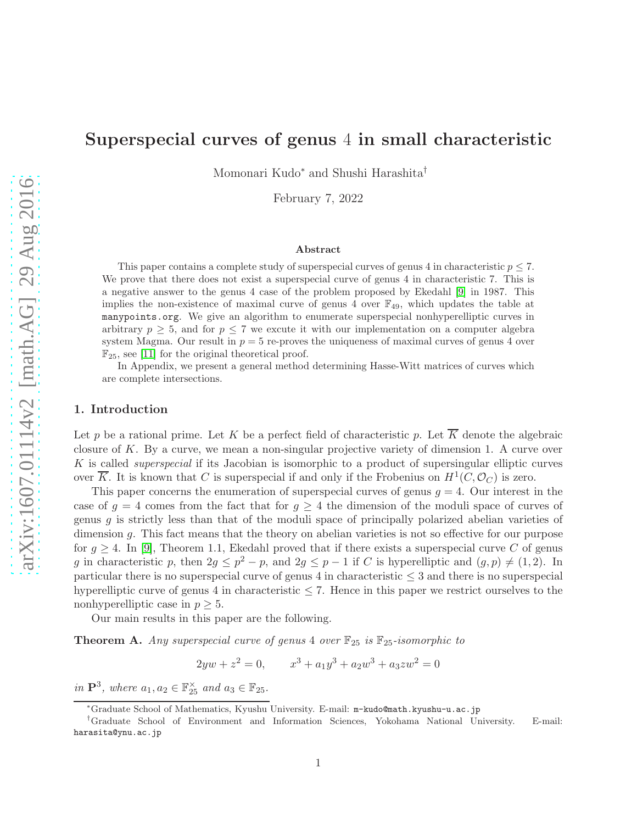# Superspecial curves of genus 4 in small characteristic

Momonari Kudo<sup>∗</sup> and Shushi Harashita†

February 7, 2022

#### Abstract

This paper contains a complete study of superspecial curves of genus 4 in characteristic  $p \leq 7$ . We prove that there does not exist a superspecial curve of genus 4 in characteristic 7. This is a negative answer to the genus 4 case of the problem proposed by Ekedahl [\[9\]](#page-32-0) in 1987. This implies the non-existence of maximal curve of genus 4 over  $\mathbb{F}_{49}$ , which updates the table at manypoints.org. We give an algorithm to enumerate superspecial nonhyperelliptic curves in arbitrary  $p \geq 5$ , and for  $p \leq 7$  we excute it with our implementation on a computer algebra system Magma. Our result in  $p = 5$  re-proves the uniqueness of maximal curves of genus 4 over  $\mathbb{F}_{25}$ , see [\[11\]](#page-32-1) for the original theoretical proof.

In Appendix, we present a general method determining Hasse-Witt matrices of curves which are complete intersections.

## 1. Introduction

Let p be a rational prime. Let K be a perfect field of characteristic p. Let  $\overline{K}$  denote the algebraic closure of K. By a curve, we mean a non-singular projective variety of dimension 1. A curve over  $K$  is called *superspecial* if its Jacobian is isomorphic to a product of supersingular elliptic curves over  $\overline{K}$ . It is known that C is superspecial if and only if the Frobenius on  $H^1(C, \mathcal{O}_C)$  is zero.

This paper concerns the enumeration of superspecial curves of genus  $g = 4$ . Our interest in the case of  $g = 4$  comes from the fact that for  $g \geq 4$  the dimension of the moduli space of curves of genus  $g$  is strictly less than that of the moduli space of principally polarized abelian varieties of dimension g. This fact means that the theory on abelian varieties is not so effective for our purpose for  $g \geq 4$ . In [\[9\]](#page-32-0), Theorem 1.1, Ekedahl proved that if there exists a superspecial curve C of genus g in characteristic p, then  $2g \le p^2 - p$ , and  $2g \le p - 1$  if C is hyperelliptic and  $(g, p) \ne (1, 2)$ . In particular there is no superspecial curve of genus 4 in characteristic  $\leq$  3 and there is no superspecial hyperelliptic curve of genus 4 in characteristic  $\leq 7$ . Hence in this paper we restrict ourselves to the nonhyperelliptic case in  $p \geq 5$ .

Our main results in this paper are the following.

<span id="page-0-0"></span>**Theorem A.** Any superspecial curve of genus 4 over  $\mathbb{F}_{25}$  is  $\mathbb{F}_{25}$ -isomorphic to

 $2yw + z^2 = 0,$   $x^3 + a_1y^3 + a_2w^3 + a_3zw^2 = 0$ 

in  $\mathbf{P}^3$ , where  $a_1, a_2 \in \mathbb{F}_{25}^{\times}$  and  $a_3 \in \mathbb{F}_{25}$ .

<sup>∗</sup>Graduate School of Mathematics, Kyushu University. E-mail: m-kudo@math.kyushu-u.ac.jp

<sup>†</sup>Graduate School of Environment and Information Sciences, Yokohama National University. E-mail: harasita@ynu.ac.jp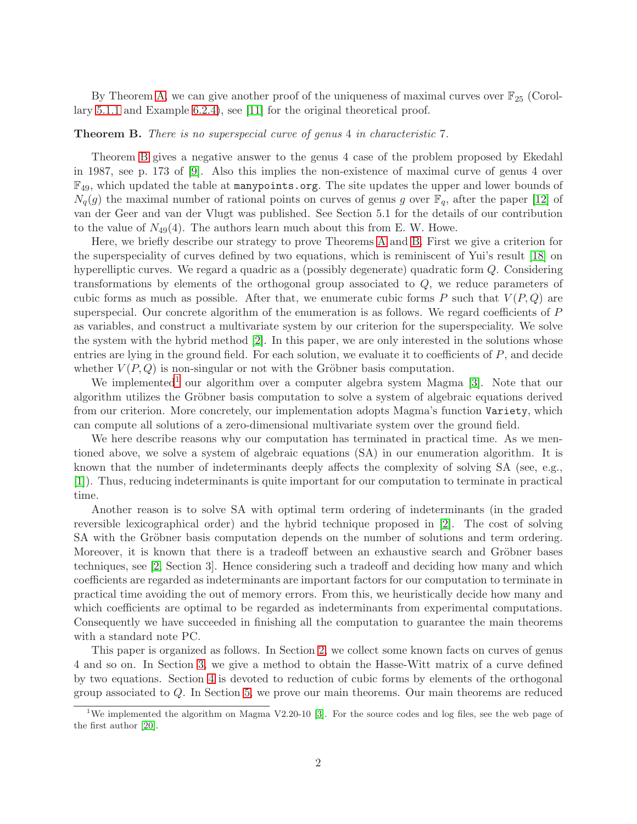By Theorem [A,](#page-0-0) we can give another proof of the uniqueness of maximal curves over  $\mathbb{F}_{25}$  (Corollary [5.1.1](#page-24-0) and Example [6.2.4\)](#page-28-0), see [\[11\]](#page-32-1) for the original theoretical proof.

#### <span id="page-1-0"></span>Theorem B. There is no superspecial curve of genus 4 in characteristic 7.

Theorem [B](#page-1-0) gives a negative answer to the genus 4 case of the problem proposed by Ekedahl in 1987, see p. 173 of [\[9\]](#page-32-0). Also this implies the non-existence of maximal curve of genus 4 over  $\mathbb{F}_{49}$ , which updated the table at many points.org. The site updates the upper and lower bounds of  $N_q(g)$  the maximal number of rational points on curves of genus g over  $\mathbb{F}_q$ , after the paper [\[12\]](#page-33-0) of van der Geer and van der Vlugt was published. See Section 5.1 for the details of our contribution to the value of  $N_{49}(4)$ . The authors learn much about this from E. W. Howe.

Here, we briefly describe our strategy to prove Theorems [A](#page-0-0) and [B.](#page-1-0) First we give a criterion for the superspeciality of curves defined by two equations, which is reminiscent of Yui's result [\[18\]](#page-33-1) on hyperelliptic curves. We regard a quadric as a (possibly degenerate) quadratic form Q. Considering transformations by elements of the orthogonal group associated to Q, we reduce parameters of cubic forms as much as possible. After that, we enumerate cubic forms P such that  $V(P,Q)$  are superspecial. Our concrete algorithm of the enumeration is as follows. We regard coefficients of P as variables, and construct a multivariate system by our criterion for the superspeciality. We solve the system with the hybrid method [\[2\]](#page-32-2). In this paper, we are only interested in the solutions whose entries are lying in the ground field. For each solution, we evaluate it to coefficients of  $P$ , and decide whether  $V(P,Q)$  is non-singular or not with the Gröbner basis computation.

We implemented<sup>[1](#page-1-1)</sup> our algorithm over a computer algebra system Magma [\[3\]](#page-32-3). Note that our algorithm utilizes the Gröbner basis computation to solve a system of algebraic equations derived from our criterion. More concretely, our implementation adopts Magma's function Variety, which can compute all solutions of a zero-dimensional multivariate system over the ground field.

We here describe reasons why our computation has terminated in practical time. As we mentioned above, we solve a system of algebraic equations (SA) in our enumeration algorithm. It is known that the number of indeterminants deeply affects the complexity of solving SA (see, e.g., [\[1\]](#page-32-4)). Thus, reducing indeterminants is quite important for our computation to terminate in practical time.

Another reason is to solve SA with optimal term ordering of indeterminants (in the graded reversible lexicographical order) and the hybrid technique proposed in [\[2\]](#page-32-2). The cost of solving SA with the Gröbner basis computation depends on the number of solutions and term ordering. Moreover, it is known that there is a tradeoff between an exhaustive search and Gröbner bases techniques, see [\[2,](#page-32-2) Section 3]. Hence considering such a tradeoff and deciding how many and which coefficients are regarded as indeterminants are important factors for our computation to terminate in practical time avoiding the out of memory errors. From this, we heuristically decide how many and which coefficients are optimal to be regarded as indeterminants from experimental computations. Consequently we have succeeded in finishing all the computation to guarantee the main theorems with a standard note PC.

This paper is organized as follows. In Section [2,](#page-2-0) we collect some known facts on curves of genus 4 and so on. In Section [3,](#page-3-0) we give a method to obtain the Hasse-Witt matrix of a curve defined by two equations. Section [4](#page-7-0) is devoted to reduction of cubic forms by elements of the orthogonal group associated to Q. In Section [5,](#page-13-0) we prove our main theorems. Our main theorems are reduced

<span id="page-1-1"></span><sup>&</sup>lt;sup>1</sup>We implemented the algorithm on Magma V2.20-10 [\[3\]](#page-32-3). For the source codes and log files, see the web page of the first author [\[20\]](#page-33-2).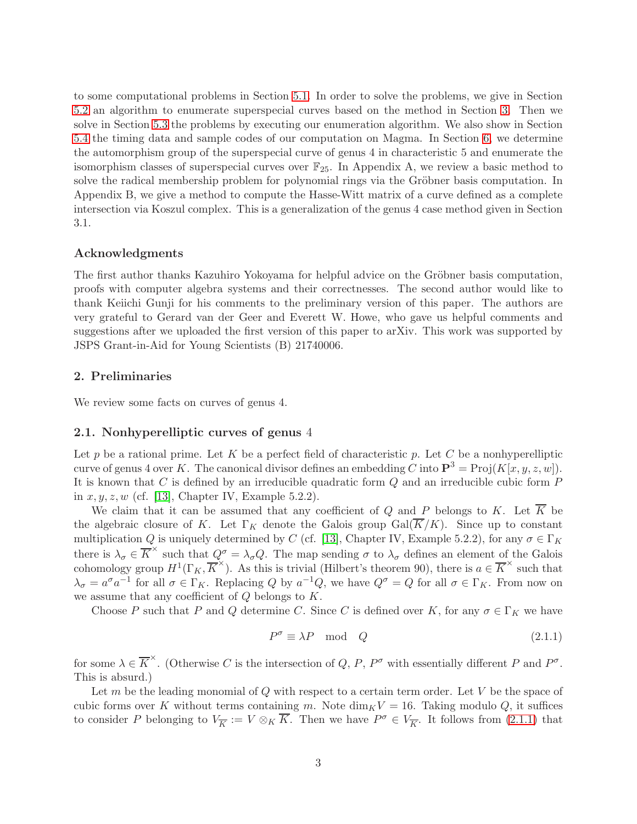to some computational problems in Section [5.1.](#page-13-1) In order to solve the problems, we give in Section [5.2](#page-15-0) an algorithm to enumerate superspecial curves based on the method in Section [3.](#page-3-0) Then we solve in Section [5.3](#page-17-0) the problems by executing our enumeration algorithm. We also show in Section [5.4](#page-23-0) the timing data and sample codes of our computation on Magma. In Section [6,](#page-26-0) we determine the automorphism group of the superspecial curve of genus 4 in characteristic 5 and enumerate the isomorphism classes of superspecial curves over  $\mathbb{F}_{25}$ . In Appendix A, we review a basic method to solve the radical membership problem for polynomial rings via the Gröbner basis computation. In Appendix B, we give a method to compute the Hasse-Witt matrix of a curve defined as a complete intersection via Koszul complex. This is a generalization of the genus 4 case method given in Section 3.1.

#### Acknowledgments

The first author thanks Kazuhiro Yokoyama for helpful advice on the Gröbner basis computation, proofs with computer algebra systems and their correctnesses. The second author would like to thank Keiichi Gunji for his comments to the preliminary version of this paper. The authors are very grateful to Gerard van der Geer and Everett W. Howe, who gave us helpful comments and suggestions after we uploaded the first version of this paper to arXiv. This work was supported by JSPS Grant-in-Aid for Young Scientists (B) 21740006.

## <span id="page-2-0"></span>2. Preliminaries

We review some facts on curves of genus 4.

## 2.1. Nonhyperelliptic curves of genus 4

Let  $p$  be a rational prime. Let  $K$  be a perfect field of characteristic  $p$ . Let  $C$  be a nonhyperelliptic curve of genus 4 over K. The canonical divisor defines an embedding C into  $\mathbf{P}^3 = \text{Proj}(K[x, y, z, w])$ . It is known that  $C$  is defined by an irreducible quadratic form  $Q$  and an irreducible cubic form  $P$ in  $x, y, z, w$  (cf. [\[13\]](#page-33-3), Chapter IV, Example 5.2.2).

We claim that it can be assumed that any coefficient of Q and P belongs to K. Let  $\overline{K}$  be the algebraic closure of K. Let  $\Gamma_K$  denote the Galois group  $Gal(\overline{K}/K)$ . Since up to constant multiplication Q is uniquely determined by C (cf. [\[13\]](#page-33-3), Chapter IV, Example 5.2.2), for any  $\sigma \in \Gamma_K$ there is  $\lambda_{\sigma} \in \overline{K}^{\times}$  such that  $Q^{\sigma}_{\times} = \lambda_{\sigma} Q$ . The map sending  $\sigma$  to  $\lambda_{\sigma}$  defines an element of the Galois cohomology group  $H^1(\Gamma_K, \overline{K}^{\times})$ . As this is trivial (Hilbert's theorem 90), there is  $a \in \overline{K}^{\times}$  such that  $\lambda_{\sigma} = a^{\sigma} a^{-1}$  for all  $\sigma \in \Gamma_K$ . Replacing Q by  $a^{-1}Q$ , we have  $Q^{\sigma} = Q$  for all  $\sigma \in \Gamma_K$ . From now on we assume that any coefficient of  $Q$  belongs to  $K$ .

Choose P such that P and Q determine C. Since C is defined over K, for any  $\sigma \in \Gamma_K$  we have

<span id="page-2-1"></span>
$$
P^{\sigma} \equiv \lambda P \mod Q \tag{2.1.1}
$$

for some  $\lambda \in \overline{K}^{\times}$ . (Otherwise C is the intersection of Q, P,  $P^{\sigma}$  with essentially different P and  $P^{\sigma}$ . This is absurd.)

Let  $m$  be the leading monomial of  $Q$  with respect to a certain term order. Let  $V$  be the space of cubic forms over K without terms containing m. Note  $\dim_K V = 16$ . Taking modulo Q, it suffices to consider P belonging to  $V_{\overline{K}} := V \otimes_K \overline{K}$ . Then we have  $P^{\sigma} \in V_{\overline{K}}$ . It follows from [\(2.1.1\)](#page-2-1) that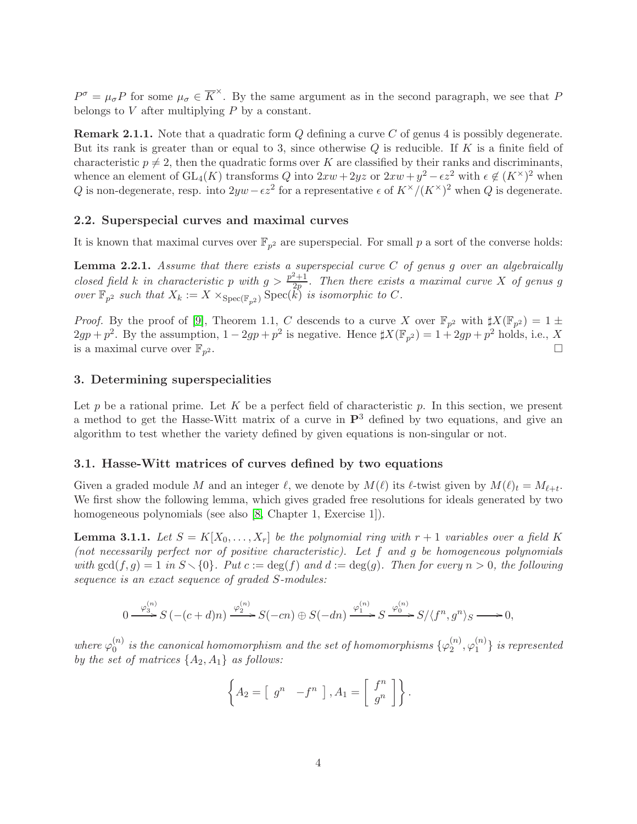$P^{\sigma} = \mu_{\sigma} P$  for some  $\mu_{\sigma} \in \overline{K}^{\times}$ . By the same argument as in the second paragraph, we see that P belongs to  $V$  after multiplying  $P$  by a constant.

**Remark 2.1.1.** Note that a quadratic form Q defining a curve C of genus 4 is possibly degenerate. But its rank is greater than or equal to 3, since otherwise  $Q$  is reducible. If  $K$  is a finite field of characteristic  $p \neq 2$ , then the quadratic forms over K are classified by their ranks and discriminants, whence an element of  $GL_4(K)$  transforms Q into  $2xw + 2yz$  or  $2xw + y^2 - \epsilon z^2$  with  $\epsilon \notin (K^{\times})^2$  when Q is non-degenerate, resp. into  $2yw - \epsilon z^2$  for a representative  $\epsilon$  of  $K^{\times}/(K^{\times})^2$  when Q is degenerate.

#### 2.2. Superspecial curves and maximal curves

It is known that maximal curves over  $\mathbb{F}_{p^2}$  are superspecial. For small p a sort of the converse holds:

<span id="page-3-1"></span>**Lemma 2.2.1.** Assume that there exists a superspecial curve  $C$  of genus g over an algebraically closed field k in characteristic p with  $g > \frac{p^2+1}{2p}$  $\frac{2^{n+1}}{2p}$ . Then there exists a maximal curve X of genus g over  $\mathbb{F}_{p^2}$  such that  $X_k := X \times_{\text{Spec}(\mathbb{F}_{p^2})} \text{Spec}(\tilde{k})$  is isomorphic to C.

*Proof.* By the proof of [\[9\]](#page-32-0), Theorem 1.1, C descends to a curve X over  $\mathbb{F}_{p^2}$  with  $\sharp X(\mathbb{F}_{p^2}) = 1 \pm \frac{1}{2}$  $2gp + p^2$ . By the assumption,  $1 - 2gp + p^2$  is negative. Hence  $\sharp X(\mathbb{F}_{p^2}) = 1 + 2gp + p^2$  holds, i.e., X is a maximal curve over  $\mathbb{F}_{p^2}$ . 2.

## <span id="page-3-0"></span>3. Determining superspecialities

Let p be a rational prime. Let K be a perfect field of characteristic p. In this section, we present a method to get the Hasse-Witt matrix of a curve in  $\mathbb{P}^3$  defined by two equations, and give an algorithm to test whether the variety defined by given equations is non-singular or not.

#### <span id="page-3-2"></span>3.1. Hasse-Witt matrices of curves defined by two equations

Given a graded module M and an integer  $\ell$ , we denote by  $M(\ell)$  its  $\ell$ -twist given by  $M(\ell)_t = M_{\ell+t}$ . We first show the following lemma, which gives graded free resolutions for ideals generated by two homogeneous polynomials (see also [\[8,](#page-32-5) Chapter 1, Exercise 1]).

**Lemma 3.1.1.** Let  $S = K[X_0, \ldots, X_r]$  be the polynomial ring with  $r + 1$  variables over a field K (not necessarily perfect nor of positive characteristic). Let f and g be homogeneous polynomials with  $gcd(f, g) = 1$  in  $S \setminus \{0\}$ . Put  $c := deg(f)$  and  $d := deg(g)$ . Then for every  $n > 0$ , the following sequence is an exact sequence of graded S-modules:

$$
0 \xrightarrow{\varphi_3^{(n)}} S(- (c+d)n) \xrightarrow{\varphi_2^{(n)}} S(-cn) \oplus S(-dn) \xrightarrow{\varphi_1^{(n)}} S \xrightarrow{\varphi_0^{(n)}} S/\langle f^n, g^n \rangle_S \longrightarrow 0,
$$

where  $\varphi_0^{(n)}$  $\mathbf{u}_{0}^{(n)}$  is the canonical homomorphism and the set of homomorphisms  $\{\varphi_{2}^{(n)}\}$  $_2^{(n)},\varphi_1^{(n)}$  $\binom{n}{1}$  is represented by the set of matrices  $\{A_2, A_1\}$  as follows:

$$
\left\{ A_2 = \left[ \begin{array}{cc} g^n & -f^n \end{array} \right], A_1 = \left[ \begin{array}{c} f^n \\ g^n \end{array} \right] \right\}.
$$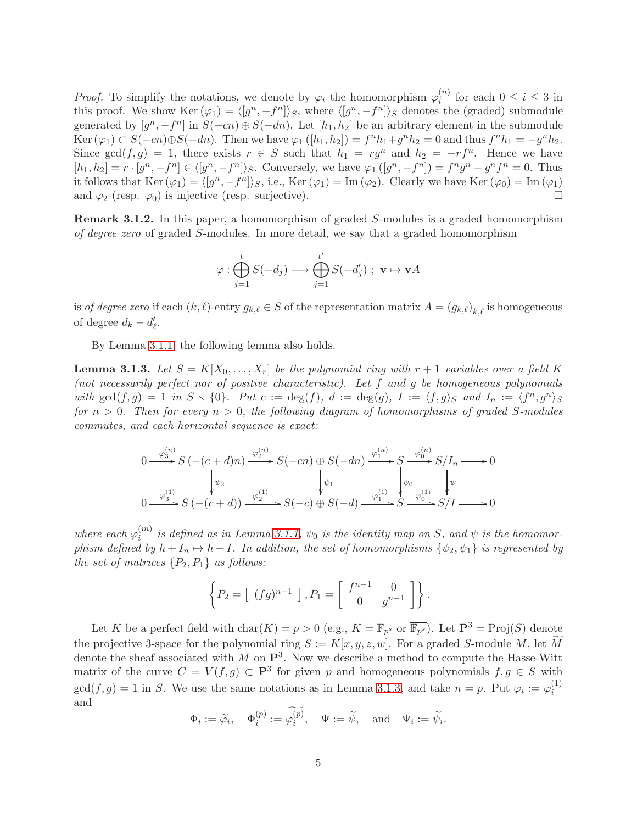*Proof.* To simplify the notations, we denote by  $\varphi_i$  the homomorphism  $\varphi_i^{(n)}$  $i^{(n)}$  for each  $0 \leq i \leq 3$  in this proof. We show  $\text{Ker } (\varphi_1) = \langle [g^n, -f^n] \rangle_S$ , where  $\langle [g^n, -f^n] \rangle_S$  denotes the (graded) submodule generated by  $[g^n, -f^n]$  in  $S(-cn) \oplus S(-dn)$ . Let  $[h_1, h_2]$  be an arbitrary element in the submodule Ker  $(\varphi_1) \subset S(-cn) \oplus S(-dn)$ . Then we have  $\varphi_1([h_1, h_2]) = f^n h_1 + g^n h_2 = 0$  and thus  $f^n h_1 = -g^n h_2$ . Since  $gcd(f,g) = 1$ , there exists  $r \in S$  such that  $h_1 = rg^n$  and  $h_2 = -rf^n$ . Hence we have  $[h_1, h_2] = r \cdot [g^n, -f^n] \in \langle [g^n, -f^n] \rangle_S$ . Conversely, we have  $\varphi_1([g^n, -f^n]) = f^n g^n - g^n f^n = 0$ . Thus it follows that  $\text{Ker } (\varphi_1) = \langle [g^n, -f^n] \rangle_S$ , i.e.,  $\text{Ker } (\varphi_1) = \text{Im } (\varphi_2)$ . Clearly we have  $\text{Ker } (\varphi_0) = \text{Im } (\varphi_1)$ and  $\varphi_2$  (resp.  $\varphi_0$ ) is injective (resp. surjective).

Remark 3.1.2. In this paper, a homomorphism of graded S-modules is a graded homomorphism of degree zero of graded S-modules. In more detail, we say that a graded homomorphism

$$
\varphi : \bigoplus_{j=1}^t S(-d_j) \longrightarrow \bigoplus_{j=1}^{t'} S(-d'_j) \ ; \ \mathbf{v} \mapsto \mathbf{v} A
$$

is *of degree zero* if each  $(k, \ell)$ -entry  $g_{k,\ell} \in S$  of the representation matrix  $A = (g_{k,\ell})_{k,\ell}$  is homogeneous of degree  $d_k - d'_\ell$ .

By Lemma [3.1.1,](#page-6-0) the following lemma also holds.

<span id="page-4-0"></span>**Lemma 3.1.3.** Let  $S = K[X_0, \ldots, X_r]$  be the polynomial ring with  $r + 1$  variables over a field K (not necessarily perfect nor of positive characteristic). Let f and g be homogeneous polynomials with  $gcd(f,g) = 1$  in  $S \setminus \{0\}$ . Put  $c := deg(f)$ ,  $d := deg(g)$ ,  $I := \langle f, g \rangle_S$  and  $I_n := \langle f^n, g^n \rangle_S$ for  $n > 0$ . Then for every  $n > 0$ , the following diagram of homomorphisms of graded S-modules commutes, and each horizontal sequence is exact:

$$
0 \xrightarrow{\varphi_3^{(n)}} S\left(-(c+d)n\right) \xrightarrow{\varphi_2^{(n)}} S(-cn) \oplus S(-dn) \xrightarrow{\varphi_1^{(n)}} S \xrightarrow{\varphi_0^{(n)}} S/I_n \longrightarrow 0
$$
  

$$
\downarrow \psi_2 \qquad \qquad \downarrow \psi_1 \qquad \qquad \downarrow \psi_0 \qquad \qquad \downarrow \psi_0
$$
  

$$
0 \xrightarrow{\varphi_3^{(1)}} S\left(-(c+d)\right) \xrightarrow{\varphi_2^{(1)}} S(-c) \oplus S(-d) \xrightarrow{\varphi_1^{(1)}} S \xrightarrow{\varphi_0^{(1)}} S/I \longrightarrow 0
$$

where each  $\varphi_i^{(m)}$  $i_i^{(m)}$  is defined as in Lemma [3.1.1,](#page-6-0)  $\psi_0$  is the identity map on S, and  $\psi$  is the homomorphism defined by  $h + I_n \mapsto h + I$ . In addition, the set of homomorphisms  $\{\psi_2, \psi_1\}$  is represented by the set of matrices  $\{P_2, P_1\}$  as follows:

$$
\left\{P_2=\left[\begin{array}{c}(fg)^{n-1}\end{array}\right], P_1=\left[\begin{array}{cc}f^{n-1}&0\\0&g^{n-1}\end{array}\right]\right\}.
$$

Let K be a perfect field with  $char(K) = p > 0$  (e.g.,  $K = \mathbb{F}_{p^s}$  or  $\overline{\mathbb{F}_{p^s}}$ ). Let  $\mathbf{P}^3 = Proj(S)$  denote the projective 3-space for the polynomial ring  $S := K[x, y, z, w]$ . For a graded S-module M, let M denote the sheaf associated with M on  $\mathbb{P}^3$ . Now we describe a method to compute the Hasse-Witt matrix of the curve  $C = V(f,g) \subset \mathbf{P}^3$  for given p and homogeneous polynomials  $f, g \in S$  with  $gcd(f,g) = 1$  in S. We use the same notations as in Lemma [3.1.3,](#page-4-0) and take  $n = p$ . Put  $\varphi_i := \varphi_i^{(1)}$ i and

$$
\Phi_i:=\widetilde{\varphi_i},\quad \Phi_i^{(p)}:=\varphi_i^{(p)},\quad \Psi:=\widetilde{\psi},\quad \text{and}\quad \Psi_i:=\widetilde{\psi_i}.
$$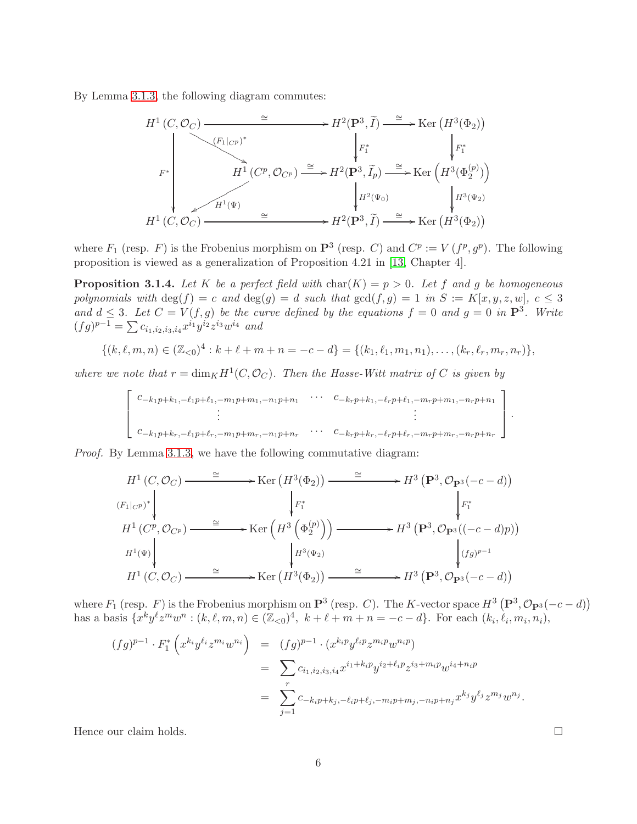By Lemma [3.1.3,](#page-4-0) the following diagram commutes:

$$
H^{1}(C, \mathcal{O}_{C}) \xrightarrow{\cong} H^{2}(\mathbf{P}^{3}, \widetilde{I}) \xrightarrow{\cong} \operatorname{Ker} (H^{3}(\Phi_{2}))
$$
\n
$$
F^{*} \downarrow F^{*} \downarrow F^{*} \downarrow F^{*} \downarrow F^{*} \downarrow F^{*} \downarrow F^{*} \downarrow F^{*} \downarrow F^{*} \downarrow F^{*} \downarrow F^{*} \downarrow F^{*} \downarrow F^{*} \downarrow F^{*} \downarrow F^{*} \downarrow F^{*} \downarrow F^{*} \downarrow F^{*} \downarrow F^{*} \downarrow F^{*} \downarrow F^{*} \downarrow F^{*} \downarrow F^{*} \downarrow F^{*} \downarrow F^{*} \downarrow F^{*} \downarrow F^{*} \downarrow F^{*} \downarrow F^{*} \downarrow F^{*} \downarrow F^{*} \downarrow F^{*} \downarrow F^{*} \downarrow F^{*} \downarrow F^{*} \downarrow F^{*} \downarrow F^{*} \downarrow F^{*} \downarrow F^{*} \downarrow F^{*} \downarrow F^{*} \downarrow F^{*} \downarrow F^{*} \downarrow F^{*} \downarrow F^{*} \downarrow F^{*} \downarrow F^{*} \downarrow F^{*} \downarrow F^{*} \downarrow F^{*} \downarrow F^{*} \downarrow F^{*} \downarrow F^{*} \downarrow F^{*} \downarrow F^{*} \downarrow F^{*} \downarrow F^{*} \downarrow F^{*} \downarrow F^{*} \downarrow F^{*} \downarrow F^{*} \downarrow F^{*} \downarrow F^{*} \downarrow F^{*} \downarrow F^{*} \downarrow F^{*} \downarrow F^{*} \downarrow F^{*} \downarrow F^{*} \downarrow F^{*} \downarrow F^{*} \downarrow F^{*} \downarrow F^{*} \downarrow F^{*} \downarrow F^{*} \downarrow F^{*} \downarrow F^{*} \downarrow F^{*} \downarrow F^{*} \downarrow F^{*} \downarrow F^{*} \downarrow F^{*} \downarrow F^{*} \downarrow F^{*} \downarrow F^{*} \downarrow F^{*} \downarrow F^{*} \downarrow F^{*} \downarrow F^{*} \downarrow F^{*} \downarrow F^{*} \downarrow F^{*} \downarrow F^{*} \downarrow F^{*} \downarrow F^{*} \downarrow F^{*} \downarrow F^{*} \downarrow F^{*} \
$$

where  $F_1$  (resp. F) is the Frobenius morphism on  $\mathbf{P}^3$  (resp. C) and  $C^p := V(f^p, g^p)$ . The following proposition is viewed as a generalization of Proposition 4.21 in [\[13,](#page-33-3) Chapter 4].

<span id="page-5-0"></span>**Proposition 3.1.4.** Let K be a perfect field with char(K) =  $p > 0$ . Let f and g be homogeneous polynomials with  $\deg(f) = c$  and  $\deg(g) = d$  such that  $\gcd(f, g) = 1$  in  $S := K[x, y, z, w], c \leq 3$ and  $d \leq 3$ . Let  $C = V(f, g)$  be the curve defined by the equations  $f = 0$  and  $g = 0$  in  $\mathbb{P}^3$ . Write  $(fg)^{p-1} = \sum c_{i_1,i_2,i_3,i_4} x^{i_1} y^{i_2} z^{i_3} w^{i_4}$  and

$$
\{(k, \ell, m, n) \in (\mathbb{Z}_{< 0})^4 : k + \ell + m + n = -c - d\} = \{(k_1, \ell_1, m_1, n_1), \ldots, (k_r, \ell_r, m_r, n_r)\},\
$$

where we note that  $r = \dim_K H^1(C, \mathcal{O}_C)$ . Then the Hasse-Witt matrix of C is given by

$$
\begin{bmatrix}\nc_{-k_1p+k_1,-\ell_1p+\ell_1,-m_1p+m_1,-n_1p+n_1} & \cdots & c_{-k_rp+k_1,-\ell_rp+\ell_1,-m_rp+m_1,-n_rp+n_1} \\
\vdots & & \vdots \\
c_{-k_1p+k_r,-\ell_1p+\ell_r,-m_1p+m_r,-n_1p+n_r} & \cdots & c_{-k_rp+k_r,-\ell_rp+\ell_r,-m_rp+m_r,-n_rp+n_r}\n\end{bmatrix}.
$$

Proof. By Lemma [3.1.3,](#page-4-0) we have the following commutative diagram:

$$
H^{1}(C, \mathcal{O}_{C}) \longrightarrow \text{Ker}(H^{3}(\Phi_{2})) \longrightarrow H^{3}(\mathbf{P}^{3}, \mathcal{O}_{\mathbf{P}^{3}}(-c-d))
$$
\n
$$
\downarrow F_{1}^{*}
$$
\n
$$
H^{1}(C^{p}, \mathcal{O}_{C^{p}}) \longrightarrow \text{Ker}(H^{3}(\Phi_{2}^{(p)})) \longrightarrow H^{3}(\mathbf{P}^{3}, \mathcal{O}_{\mathbf{P}^{3}}((-c-d)p))
$$
\n
$$
H^{1}(\Psi)
$$
\n
$$
H^{1}(C, \mathcal{O}_{C}) \longrightarrow \text{Ker}(H^{3}(\Phi_{2})) \longrightarrow H^{3}(\mathbf{P}^{3}, \mathcal{O}_{\mathbf{P}^{3}}((-c-d)p))
$$
\n
$$
\downarrow G_{p^{3}}(C_{p^{3}})
$$
\n
$$
H^{1}(C, \mathcal{O}_{C}) \longrightarrow \text{Ker}(H^{3}(\Phi_{2})) \longrightarrow H^{3}(\mathbf{P}^{3}, \mathcal{O}_{\mathbf{P}^{3}}(-c-d))
$$

where  $F_1$  (resp.  $F$ ) is the Frobenius morphism on  $\mathbf{P}^3$  (resp. C). The K-vector space  $H^3(\mathbf{P}^3, \mathcal{O}_{\mathbf{P}^3}(-c-d))$ has a basis  $\{x^k y^{\ell} z^m w^n : (k, \ell, m, n) \in (\mathbb{Z}_{<0})^4, \ k + \ell + m + n = -c - d\}.$  For each  $(k_i, \ell_i, m_i, n_i)$ ,

$$
(fg)^{p-1} \cdot F_1^* \left( x^{k_i} y^{\ell_i} z^{m_i} w^{n_i} \right) = (fg)^{p-1} \cdot (x^{k_i p} y^{\ell_i p} z^{m_i p} w^{n_i p})
$$
  

$$
= \sum_r c_{i_1, i_2, i_3, i_4} x^{i_1 + k_i p} y^{i_2 + \ell_i p} z^{i_3 + m_i p} w^{i_4 + n_i p}
$$
  

$$
= \sum_{j=1}^r c_{-k_i p + k_j, -\ell_i p + \ell_j, -m_i p + m_j, -n_i p + n_j} x^{k_j} y^{\ell_j} z^{m_j} w^{n_j}.
$$

Hence our claim holds.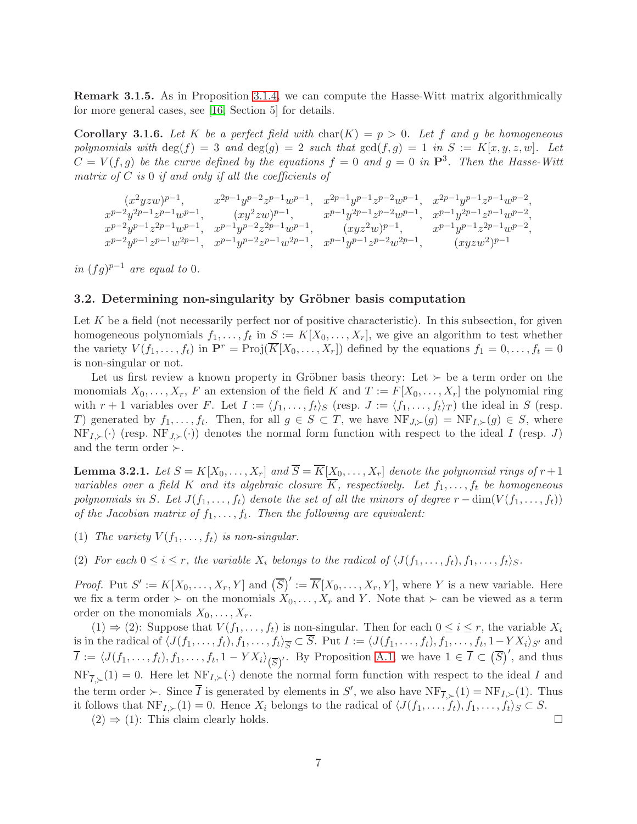Remark 3.1.5. As in Proposition [3.1.4,](#page-5-0) we can compute the Hasse-Witt matrix algorithmically for more general cases, see [\[16,](#page-33-4) Section 5] for details.

<span id="page-6-1"></span>**Corollary 3.1.6.** Let K be a perfect field with  $char(K) = p > 0$ . Let f and g be homogeneous polynomials with  $\deg(f) = 3$  and  $\deg(g) = 2$  such that  $\gcd(f,g) = 1$  in  $S := K[x,y,z,w]$ . Let  $C = V(f, g)$  be the curve defined by the equations  $f = 0$  and  $g = 0$  in  $\mathbf{P}^3$ . Then the Hasse-Witt matrix of  $C$  is 0 if and only if all the coefficients of

$$
\begin{array}{ccc} (x^2yzw)^{p-1}, & x^{2p-1}y^{p-2}z^{p-1}w^{p-1}, & x^{2p-1}y^{p-1}z^{p-2}w^{p-1}, & x^{2p-1}y^{p-1}z^{p-1}w^{p-2},\\ x^{p-2}y^{2p-1}z^{p-1}w^{p-1}, & (xy^2zw)^{p-1}, & x^{p-1}y^{2p-1}z^{p-2}w^{p-1}, & x^{p-1}y^{2p-1}z^{p-1}w^{p-2},\\ x^{p-2}y^{p-1}z^{2p-1}w^{p-1}, & x^{p-1}y^{p-2}z^{2p-1}w^{p-1}, & (xyz^2w)^{p-1}, & x^{p-1}y^{p-1}z^{2p-1}w^{p-2},\\ x^{p-2}y^{p-1}z^{p-1}w^{2p-1}, & x^{p-1}y^{p-2}z^{p-1}w^{2p-1}, & x^{p-1}y^{p-1}z^{p-2}w^{2p-1}, & (xyz^w)^{p-1} \end{array}
$$

in  $(fg)^{p-1}$  are equal to 0.

## 3.2. Determining non-singularity by Gröbner basis computation

Let  $K$  be a field (not necessarily perfect nor of positive characteristic). In this subsection, for given homogeneous polynomials  $f_1, \ldots, f_t$  in  $S := K[X_0, \ldots, X_r]$ , we give an algorithm to test whether the variety  $V(f_1,\ldots,f_t)$  in  $\mathbf{P}^r = \text{Proj}(\overline{K}[X_0,\ldots,X_r])$  defined by the equations  $f_1 = 0,\ldots,f_t = 0$ is non-singular or not.

Let us first review a known property in Gröbner basis theory: Let  $\succ$  be a term order on the monomials  $X_0, \ldots, X_r$ , F an extension of the field K and  $T := F[X_0, \ldots, X_r]$  the polynomial ring with  $r + 1$  variables over F. Let  $I := \langle f_1, \ldots, f_t \rangle_S$  (resp.  $J := \langle f_1, \ldots, f_t \rangle_T$ ) the ideal in S (resp. T) generated by  $f_1, \ldots, f_t$ . Then, for all  $g \in S \subset T$ , we have  $NF_{J,\succ}(g) = NF_{I,\succ}(g) \in S$ , where  $NF_{I,\succ}(\cdot)$  (resp.  $NF_{J,\succ}(\cdot)$ ) denotes the normal form function with respect to the ideal I (resp. J) and the term order  $\succ$ .

<span id="page-6-0"></span>**Lemma 3.2.1.** Let  $S = K[X_0, \ldots, X_r]$  and  $\overline{S} = \overline{K}[X_0, \ldots, X_r]$  denote the polynomial rings of  $r+1$ variables over a field K and its algebraic closure  $\overline{K}$ , respectively. Let  $f_1, \ldots, f_t$  be homogeneous polynomials in S. Let  $J(f_1, \ldots, f_t)$  denote the set of all the minors of degree  $r - \dim(V(f_1, \ldots, f_t))$ of the Jacobian matrix of  $f_1, \ldots, f_t$ . Then the following are equivalent:

- (1) The variety  $V(f_1, \ldots, f_t)$  is non-singular.
- (2) For each  $0 \leq i \leq r$ , the variable  $X_i$  belongs to the radical of  $\langle J(f_1, \ldots, f_t), f_1, \ldots, f_t \rangle_S$ .

*Proof.* Put  $S' := K[X_0, \ldots, X_r, Y]$  and  $(\overline{S})' := \overline{K}[X_0, \ldots, X_r, Y]$ , where Y is a new variable. Here we fix a term order ≻ on the monomials  $X_0, \ldots, X_r$  and Y. Note that ≻ can be viewed as a term order on the monomials  $X_0, \ldots, X_r$ .

 $(1) \Rightarrow (2)$ : Suppose that  $V(f_1, \ldots, f_t)$  is non-singular. Then for each  $0 \le i \le r$ , the variable  $X_i$ is in the radical of  $\langle J(f_1,\ldots,f_t), f_1,\ldots,f_t\rangle_{\overline{S}} \subset S$ . Put  $I := \langle J(f_1,\ldots,f_t), f_1,\ldots,f_t, 1-YX_i\rangle_{S'}$  and  $\overline{I} := \langle J(f_1,\ldots,f_t), f_1,\ldots,f_t, 1 - Y X_i \rangle_{\left(\overline{S}\right)}'.$  By Proposition [A.1,](#page-29-0) we have  $1 \in \overline{I} \subset \left(\overline{S}\right)',$  and thus  $NF_{\overline{I},\succ}(1) = 0$ . Here let  $NF_{I,\succ}(\cdot)$  denote the normal form function with respect to the ideal I and the term order ≻. Since  $\overline{I}$  is generated by elements in S', we also have  $\text{NF}_{\overline{I},\succ}(1) = \text{NF}_{I,\succ}(1)$ . Thus it follows that  $NF_{I,\succ}(1) = 0$ . Hence  $X_i$  belongs to the radical of  $\langle J(f_1, \ldots, f_t), f_1, \ldots, f_t \rangle_S \subset S$ .

 $(2) \Rightarrow (1)$ : This claim clearly holds.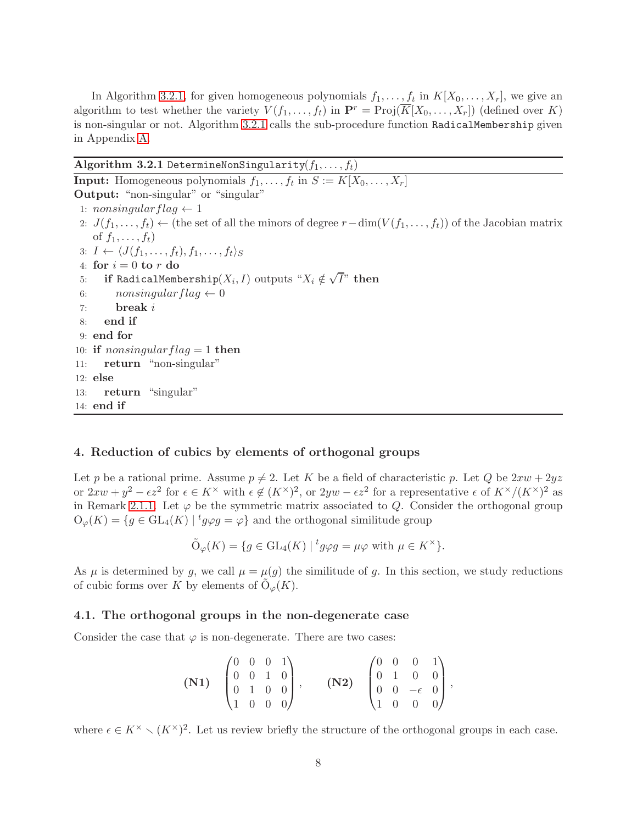In Algorithm [3.2.1,](#page-7-1) for given homogeneous polynomials  $f_1, \ldots, f_t$  in  $K[X_0, \ldots, X_r]$ , we give an algorithm to test whether the variety  $V(f_1, \ldots, f_t)$  in  $\mathbf{P}^r = \text{Proj}(\overline{K}[X_0, \ldots, X_r])$  (defined over K) is non-singular or not. Algorithm [3.2.1](#page-7-1) calls the sub-procedure function RadicalMembership given in Appendix [A.](#page-28-1)

<span id="page-7-1"></span>

| $\mathbf{Algorithm}$ $\mathbf{3.2.1}$ DetermineNonSingularity $(f_1,\ldots,f_t)$                                          |
|---------------------------------------------------------------------------------------------------------------------------|
| <b>Input:</b> Homogeneous polynomials $f_1, \ldots, f_t$ in $S := K[X_0, \ldots, X_r]$                                    |
| <b>Output:</b> "non-singular" or "singular"                                                                               |
| 1: nonsingular flag $\leftarrow$ 1                                                                                        |
| 2: $J(f_1,\ldots,f_t) \leftarrow$ (the set of all the minors of degree $r-\dim(V(f_1,\ldots,f_t))$ of the Jacobian matrix |
| of $f_1, \ldots, f_t$                                                                                                     |
| 3: $I \leftarrow \langle J(f_1,\ldots,f_t), f_1,\ldots,f_t\rangle_S$                                                      |
| 4: for $i = 0$ to r do                                                                                                    |
| <b>if</b> RadicalMembership( $X_i, I$ ) outputs " $X_i \notin \sqrt{I}$ " then<br>5:                                      |
| $nonsingular flag \leftarrow 0$<br>6:                                                                                     |
| break i<br>7:                                                                                                             |
| end if<br>8:                                                                                                              |
| $9:$ end for                                                                                                              |
| 10: if <i>nonsingular</i> $flag = 1$ then                                                                                 |
| 11: return "non-singular"                                                                                                 |
| $12:$ else                                                                                                                |
| 13: return "singular"                                                                                                     |
| $14:$ end if                                                                                                              |

## <span id="page-7-0"></span>4. Reduction of cubics by elements of orthogonal groups

Let p be a rational prime. Assume  $p \neq 2$ . Let K be a field of characteristic p. Let Q be  $2xw + 2yz$ or  $2xw + y^2 - \epsilon z^2$  for  $\epsilon \in K^\times$  with  $\epsilon \notin (K^\times)^2$ , or  $2yw - \epsilon z^2$  for a representative  $\epsilon$  of  $K^\times/(K^\times)^2$  as in Remark [2.1.1.](#page-3-1) Let  $\varphi$  be the symmetric matrix associated to Q. Consider the orthogonal group  $O_{\varphi}(K) = \{ g \in GL_4(K) \mid {}^t g \varphi g = \varphi \}$  and the orthogonal similitude group

$$
\tilde{\mathcal{O}}_{\varphi}(K) = \{ g \in \mathrm{GL}_4(K) \mid {}^t g \varphi g = \mu \varphi \text{ with } \mu \in K^{\times} \}.
$$

As  $\mu$  is determined by g, we call  $\mu = \mu(g)$  the similitude of g. In this section, we study reductions of cubic forms over K by elements of  $\tilde{\mathrm{O}}_{\varphi}(K)$ .

#### <span id="page-7-2"></span>4.1. The orthogonal groups in the non-degenerate case

Consider the case that  $\varphi$  is non-degenerate. There are two cases:

$$
\textbf{(N1)} \quad \begin{pmatrix} 0 & 0 & 0 & 1 \\ 0 & 0 & 1 & 0 \\ 0 & 1 & 0 & 0 \\ 1 & 0 & 0 & 0 \end{pmatrix}, \qquad \textbf{(N2)} \quad \begin{pmatrix} 0 & 0 & 0 & 1 \\ 0 & 1 & 0 & 0 \\ 0 & 0 & -\epsilon & 0 \\ 1 & 0 & 0 & 0 \end{pmatrix},
$$

where  $\epsilon \in K^{\times} \setminus (K^{\times})^2$ . Let us review briefly the structure of the orthogonal groups in each case.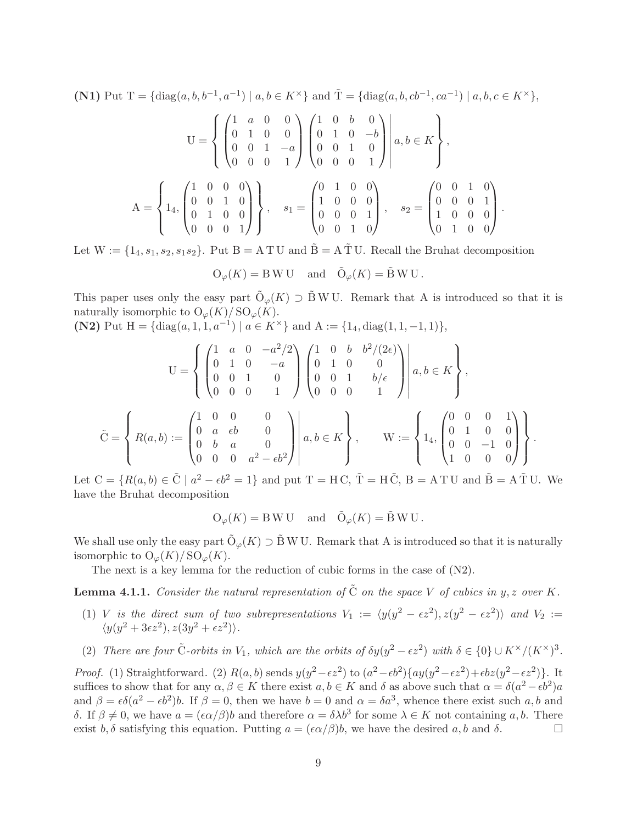(N1) Put T = {diag(a, b, b<sup>-1</sup>, a<sup>-1</sup>) | a, b  $\in K^{\times}$ } and  $\tilde{T} =$  {diag(a, b, cb<sup>-1</sup>, ca<sup>-1</sup>) | a, b, c  $\in K^{\times}$ },

$$
U = \left\{ \begin{pmatrix} 1 & a & 0 & 0 \\ 0 & 1 & 0 & 0 \\ 0 & 0 & 1 & -a \\ 0 & 0 & 0 & 1 \end{pmatrix} \begin{pmatrix} 1 & 0 & b & 0 \\ 0 & 1 & 0 & -b \\ 0 & 0 & 1 & 0 \\ 0 & 0 & 0 & 1 \end{pmatrix} \right\},
$$
  

$$
A = \left\{ 1_4, \begin{pmatrix} 1 & 0 & 0 & 0 \\ 0 & 0 & 1 & 0 \\ 0 & 1 & 0 & 0 \\ 0 & 0 & 0 & 1 \end{pmatrix} \right\}, \quad s_1 = \begin{pmatrix} 0 & 1 & 0 & 0 \\ 1 & 0 & 0 & 0 \\ 0 & 0 & 0 & 1 \\ 0 & 0 & 1 & 0 \end{pmatrix}, \quad s_2 = \begin{pmatrix} 0 & 0 & 1 & 0 \\ 0 & 0 & 0 & 1 \\ 1 & 0 & 0 & 0 \\ 0 & 1 & 0 & 0 \end{pmatrix}.
$$

Let  $W := \{1_4, s_1, s_2, s_1s_2\}$ . Put  $B = A T U$  and  $\tilde{B} = A T U$ . Recall the Bruhat decomposition

$$
\mathrm{O}_\varphi(K)=\mathrm{B}\,\mathrm{W}\,\mathrm{U}\quad\text{ and}\quad \tilde{\mathrm{O}}_\varphi(K)=\tilde{\mathrm{B}}\,\mathrm{W}\,\mathrm{U}\,.
$$

This paper uses only the easy part  $\tilde{O}_{\varphi}(K) \supset \tilde{B} W U$ . Remark that A is introduced so that it is naturally isomorphic to  $O_{\varphi}(K)/\text{SO}_{\varphi}(K)$ .

(N2) Put  $H = \{diag(a, 1, 1, a^{-1}) \mid a \in K^{\times}\}\$ and  $A := \{1_4, diag(1, 1, -1, 1)\}\$ 

$$
U = \left\{ \begin{pmatrix} 1 & a & 0 & -a^2/2 \\ 0 & 1 & 0 & -a \\ 0 & 0 & 1 & 0 \\ 0 & 0 & 0 & 1 \end{pmatrix} \begin{pmatrix} 1 & 0 & b & b^2/(2\epsilon) \\ 0 & 1 & 0 & 0 \\ 0 & 0 & 1 & b/\epsilon \\ 0 & 0 & 0 & 1 \end{pmatrix} \middle| a, b \in K \right\},
$$
  

$$
\tilde{C} = \left\{ R(a, b) := \begin{pmatrix} 1 & 0 & 0 & 0 \\ 0 & a & \epsilon b & 0 \\ 0 & b & a & 0 \\ 0 & 0 & 0 & a^2 - \epsilon b^2 \end{pmatrix} \middle| a, b \in K \right\}, \qquad W := \left\{ 1_4, \begin{pmatrix} 0 & 0 & 0 & 1 \\ 0 & 1 & 0 & 0 \\ 0 & 0 & -1 & 0 \\ 1 & 0 & 0 & 0 \end{pmatrix} \right\}.
$$

Let  $C = \{R(a, b) \in \tilde{C} \mid a^2 - \epsilon b^2 = 1\}$  and put  $T = HC$ ,  $\tilde{T} = H\tilde{C}$ ,  $B = ATU$  and  $\tilde{B} = A\tilde{T}U$ . We have the Bruhat decomposition

$$
O_{\varphi}(K) = B W U
$$
 and  $\tilde{O}_{\varphi}(K) = \tilde{B} W U$ .

We shall use only the easy part  $\tilde{O}_{\varphi}(K) \supset \tilde{B} W U$ . Remark that A is introduced so that it is naturally isomorphic to  $O_{\varphi}(K)/\text{SO}_{\varphi}(K)$ .

The next is a key lemma for the reduction of cubic forms in the case of (N2).

**Lemma 4.1.1.** Consider the natural representation of  $\tilde{C}$  on the space V of cubics in y, z over K.

- (1) V is the direct sum of two subrepresentations  $V_1 := \langle y(y^2 \epsilon z^2), z(y^2 \epsilon z^2) \rangle$  and  $V_2 :=$  $\langle y(y^2 + 3\epsilon z^2), z(3y^2 + \epsilon z^2) \rangle.$
- (2) There are four  $\tilde{C}$ -orbits in  $V_1$ , which are the orbits of  $\delta y(y^2 \epsilon z^2)$  with  $\delta \in \{0\} \cup K^\times / (K^\times)^3$ .

Proof. (1) Straightforward. (2)  $R(a, b)$  sends  $y(y^2 - \epsilon z^2)$  to  $(a^2 - \epsilon b^2) \{ay(y^2 - \epsilon z^2) + \epsilon bz(y^2 - \epsilon z^2)\}\$ . It suffices to show that for any  $\alpha, \beta \in K$  there exist  $a, b \in K$  and  $\delta$  as above such that  $\alpha = \delta(a^2 - \epsilon b^2)a$ and  $\beta = \epsilon \delta(a^2 - \epsilon b^2) b$ . If  $\beta = 0$ , then we have  $b = 0$  and  $\alpha = \delta a^3$ , whence there exist such a, b and δ. If  $\beta \neq 0$ , we have  $a = (\epsilon \alpha/\beta)b$  and therefore  $\alpha = \delta \lambda b^3$  for some  $\lambda \in K$  not containing a, b. There exist b,  $\delta$  satisfying this equation. Putting  $a = (\epsilon \alpha/\beta)b$ , we have the desired a, b and  $\delta$ .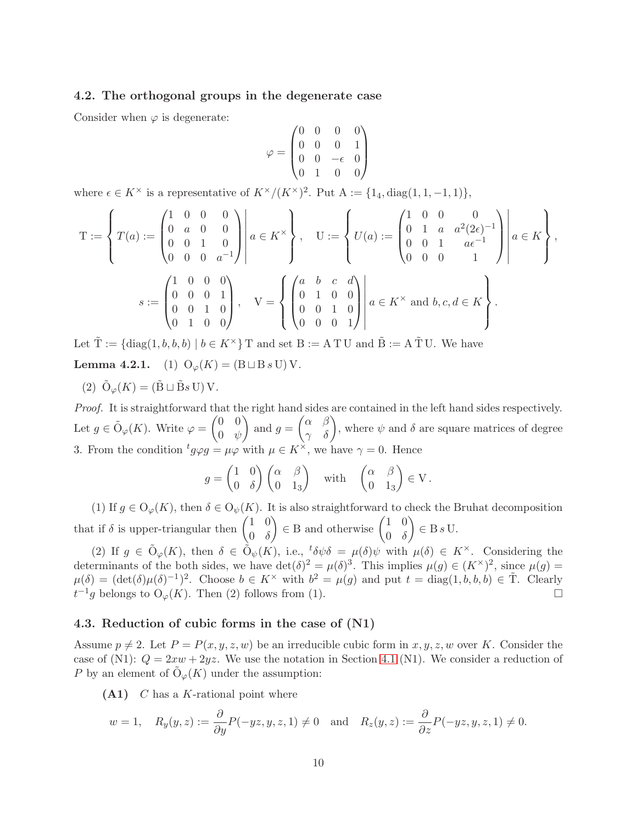## <span id="page-9-0"></span>4.2. The orthogonal groups in the degenerate case

Consider when  $\varphi$  is degenerate:

$$
\varphi = \begin{pmatrix} 0 & 0 & 0 & 0 \\ 0 & 0 & 0 & 1 \\ 0 & 0 & -\epsilon & 0 \\ 0 & 1 & 0 & 0 \end{pmatrix}
$$

where  $\epsilon \in K^{\times}$  is a representative of  $K^{\times}/(K^{\times})^2$ . Put  $A := \{1_4, \text{diag}(1, 1, -1, 1)\},\$ 

$$
T := \left\{ T(a) := \begin{pmatrix} 1 & 0 & 0 & 0 \\ 0 & a & 0 & 0 \\ 0 & 0 & 1 & 0 \\ 0 & 0 & 0 & a^{-1} \end{pmatrix} \middle| a \in K^{\times} \right\}, \quad U := \left\{ U(a) := \begin{pmatrix} 1 & 0 & 0 & 0 \\ 0 & 1 & a & a^{2}(2\epsilon)^{-1} \\ 0 & 0 & 1 & a\epsilon^{-1} \\ 0 & 0 & 0 & 1 \end{pmatrix} \middle| a \in K \right\},
$$

$$
s := \begin{pmatrix} 1 & 0 & 0 & 0 \\ 0 & 0 & 0 & 1 \\ 0 & 0 & 1 & 0 \\ 0 & 1 & 0 & 0 \end{pmatrix}, \quad V = \left\{ \begin{pmatrix} a & b & c & d \\ 0 & 1 & 0 & 0 \\ 0 & 0 & 1 & 0 \\ 0 & 0 & 0 & 1 \end{pmatrix} \middle| a \in K^{\times} \text{ and } b, c, d \in K \right\}.
$$

Let  $\tilde{T} := \{ \text{diag}(1, b, b, b) \mid b \in K^{\times} \}$  T and set  $B := A T U$  and  $\tilde{B} := A T U$ . We have **Lemma 4.2.1.** (1)  $O_{\varphi}(K) = (B \sqcup B s \sqcup V)$ .

(2)  $\tilde{\mathrm{O}}_{\varphi}(K) = (\tilde{\mathrm{B}} \sqcup \tilde{\mathrm{B}}s \mathrm{U}) \mathrm{V}.$ 

Proof. It is straightforward that the right hand sides are contained in the left hand sides respectively. Let  $g \in \tilde{\mathrm{O}}_{\varphi}(K)$ . Write  $\varphi =$  $(0 \ 0)$  $0 \phi$  $\overline{ }$ and  $g =$  $\begin{pmatrix} \alpha & \beta \\ \gamma & \delta \end{pmatrix}$ , where  $\psi$  and  $\delta$  are square matrices of degree 3. From the condition  ${}^t g \varphi g = \mu \varphi$  with  $\mu \in K^{\times}$ , we have  $\gamma = 0$ . Hence

$$
g = \begin{pmatrix} 1 & 0 \\ 0 & \delta \end{pmatrix} \begin{pmatrix} \alpha & \beta \\ 0 & 1_3 \end{pmatrix} \quad \text{with} \quad \begin{pmatrix} \alpha & \beta \\ 0 & 1_3 \end{pmatrix} \in V.
$$

(1) If  $g \in O_{\varphi}(K)$ , then  $\delta \in O_{\psi}(K)$ . It is also straightforward to check the Bruhat decomposition that if  $\delta$  is upper-triangular then  $\begin{pmatrix} 1 & 0 \\ 0 & s \end{pmatrix}$  $0 \delta$  $\Big) \in B$  and otherwise  $\begin{pmatrix} 1 & 0 \\ 0 & \delta \end{pmatrix}$  $0 \delta$  $\overline{ }$  $\in$  B s U.

(2) If  $g \in \tilde{O}_{\varphi}(K)$ , then  $\delta \in \tilde{O}_{\psi}(K)$ , i.e.,  $\delta \psi \delta = \mu(\delta) \psi$  with  $\mu(\delta) \in K^{\times}$ . Considering the determinants of the both sides, we have  $\det(\delta)^2 = \mu(\delta)^3$ . This implies  $\mu(g) \in (K^{\times})^2$ , since  $\mu(g) =$  $\mu(\delta) = (\det(\delta)\mu(\delta)^{-1})^2$ . Choose  $b \in K^\times$  with  $b^2 = \mu(g)$  and put  $t = \text{diag}(1, b, b, b) \in \tilde{T}$ . Clearly  $t^{-1}g$  belongs to  $O_{\varphi}(K)$ . Then (2) follows from (1).

#### 4.3. Reduction of cubic forms in the case of (N1)

Assume  $p \neq 2$ . Let  $P = P(x, y, z, w)$  be an irreducible cubic form in x, y, z, w over K. Consider the case of (N1):  $Q = 2xw + 2yz$ . We use the notation in Section [4.1](#page-7-2) (N1). We consider a reduction of P by an element of  $\tilde{\mathrm{O}}_{\varphi}(K)$  under the assumption:

 $(A1)$  C has a K-rational point where

$$
w = 1
$$
,  $R_y(y, z) := \frac{\partial}{\partial y} P(-yz, y, z, 1) \neq 0$  and  $R_z(y, z) := \frac{\partial}{\partial z} P(-yz, y, z, 1) \neq 0$ .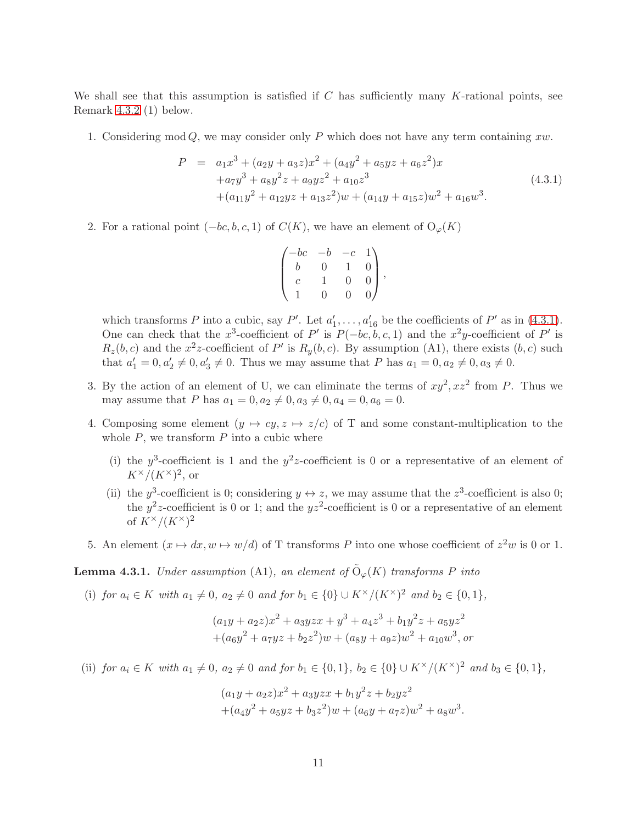We shall see that this assumption is satisfied if  $C$  has sufficiently many  $K$ -rational points, see Remark 4.3.2 (1) below.

1. Considering mod  $Q$ , we may consider only P which does not have any term containing xw.

<span id="page-10-0"></span>
$$
P = a_1x^3 + (a_2y + a_3z)x^2 + (a_4y^2 + a_5yz + a_6z^2)x
$$
  
+ $a_7y^3 + a_8y^2z + a_9yz^2 + a_{10}z^3$   
+ $(a_{11}y^2 + a_{12}yz + a_{13}z^2)w + (a_{14}y + a_{15}z)w^2 + a_{16}w^3$ . (4.3.1)

2. For a rational point  $(-bc, b, c, 1)$  of  $C(K)$ , we have an element of  $O_{\varphi}(K)$ 

| $-bc$          |               | $-c$         | $1\lambda$     |  |
|----------------|---------------|--------------|----------------|--|
| b              | $\Box$        | $\mathbf{1}$ | $\overline{0}$ |  |
| $\overline{c}$ |               | $\Omega$     | $\overline{0}$ |  |
|                | $\mathcal{O}$ | 0            | $\overline{0}$ |  |

which transforms P into a cubic, say P'. Let  $a'_1, \ldots, a'_{16}$  be the coefficients of P' as in [\(4.3.1\)](#page-10-0). One can check that the x<sup>3</sup>-coefficient of P' is  $P(-bc, b, c, 1)$  and the x<sup>2</sup>y-coefficient of P' is  $R_z(b, c)$  and the  $x^2z$ -coefficient of P' is  $R_y(b, c)$ . By assumption (A1), there exists  $(b, c)$  such that  $a'_1 = 0, a'_2 \neq 0, a'_3 \neq 0$ . Thus we may assume that P has  $a_1 = 0, a_2 \neq 0, a_3 \neq 0$ .

- 3. By the action of an element of U, we can eliminate the terms of  $xy^2$ ,  $xz^2$  from P. Thus we may assume that P has  $a_1 = 0, a_2 \neq 0, a_3 \neq 0, a_4 = 0, a_6 = 0.$
- 4. Composing some element  $(y \mapsto cy, z \mapsto z/c)$  of T and some constant-multiplication to the whole  $P$ , we transform  $P$  into a cubic where
	- (i) the y<sup>3</sup>-coefficient is 1 and the y<sup>2</sup>z-coefficient is 0 or a representative of an element of  $K^{\times}/(K^{\times})^2$ , or
	- (ii) the y<sup>3</sup>-coefficient is 0; considering  $y \leftrightarrow z$ , we may assume that the  $z^3$ -coefficient is also 0; the  $y^2z$ -coefficient is 0 or 1; and the  $yz^2$ -coefficient is 0 or a representative of an element of  $K^{\times}/(K^{\times})^2$
- 5. An element  $(x \mapsto dx, w \mapsto w/d)$  of T transforms P into one whose coefficient of  $z^2w$  is 0 or 1.

## **Lemma 4.3.1.** Under assumption (A1), an element of  $\tilde{O}_{\varphi}(K)$  transforms P into

(i) for  $a_i \in K$  with  $a_1 \neq 0$ ,  $a_2 \neq 0$  and for  $b_1 \in \{0\} \cup K^\times/(K^\times)^2$  and  $b_2 \in \{0,1\}$ ,

$$
(a_1y + a_2z)x^2 + a_3yzx + y^3 + a_4z^3 + b_1y^2z + a_5yz^2
$$
  
+ $(a_6y^2 + a_7yz + b_2z^2)w + (a_8y + a_9z)w^2 + a_{10}w^3$ , or

(ii) for  $a_i \in K$  with  $a_1 \neq 0$ ,  $a_2 \neq 0$  and for  $b_1 \in \{0,1\}$ ,  $b_2 \in \{0\} \cup K^{\times}/(K^{\times})^2$  and  $b_3 \in \{0,1\}$ ,

$$
(a_1y + a_2z)x^2 + a_3yzx + b_1y^2z + b_2yz^2
$$
  
+
$$
(a_4y^2 + a_5yz + b_3z^2)w + (a_6y + a_7z)w^2 + a_8w^3.
$$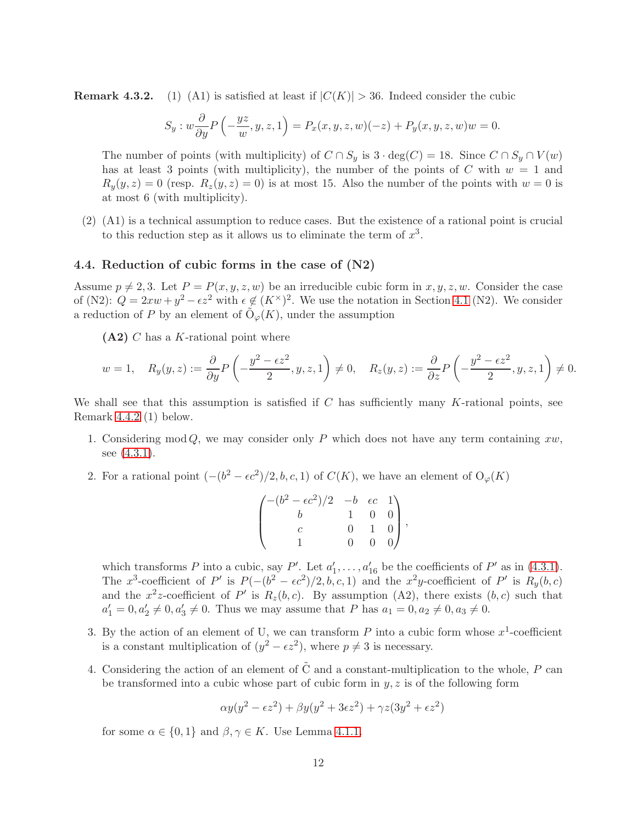**Remark 4.3.2.** (1) (A1) is satisfied at least if  $|C(K)| > 36$ . Indeed consider the cubic

$$
S_y: w\frac{\partial}{\partial y}P\left(-\frac{yz}{w},y,z,1\right) = P_x(x,y,z,w)(-z) + P_y(x,y,z,w)w = 0.
$$

The number of points (with multiplicity) of  $C \cap S_y$  is  $3 \cdot deg(C) = 18$ . Since  $C \cap S_y \cap V(w)$ has at least 3 points (with multiplicity), the number of the points of C with  $w = 1$  and  $R_y(y, z) = 0$  (resp.  $R_z(y, z) = 0$ ) is at most 15. Also the number of the points with  $w = 0$  is at most 6 (with multiplicity).

(2) (A1) is a technical assumption to reduce cases. But the existence of a rational point is crucial to this reduction step as it allows us to eliminate the term of  $x^3$ .

#### 4.4. Reduction of cubic forms in the case of (N2)

Assume  $p \neq 2, 3$ . Let  $P = P(x, y, z, w)$  be an irreducible cubic form in  $x, y, z, w$ . Consider the case of (N2):  $Q = 2xw + y^2 - \epsilon z^2$  with  $\epsilon \notin (K^{\times})^2$ . We use the notation in Section [4.1](#page-7-2) (N2). We consider a reduction of P by an element of  $\tilde{\mathrm{O}}_{\varphi}(K)$ , under the assumption

 $(A2)$  C has a K-rational point where

$$
w = 1, \quad R_y(y, z) := \frac{\partial}{\partial y} P\left(-\frac{y^2 - \epsilon z^2}{2}, y, z, 1\right) \neq 0, \quad R_z(y, z) := \frac{\partial}{\partial z} P\left(-\frac{y^2 - \epsilon z^2}{2}, y, z, 1\right) \neq 0.
$$

We shall see that this assumption is satisfied if  $C$  has sufficiently many  $K$ -rational points, see Remark 4.4.2 (1) below.

- 1. Considering mod Q, we may consider only P which does not have any term containing  $xw$ , see  $(4.3.1)$ .
- 2. For a rational point  $(-(b^2 \epsilon c^2)/2, b, c, 1)$  of  $C(K)$ , we have an element of  $O_{\varphi}(K)$

$$
\begin{pmatrix} -(b^2-\epsilon c^2)/2 & -b & \epsilon c & 1 \\ b & 1 & 0 & 0 \\ c & 0 & 1 & 0 \\ 1 & 0 & 0 & 0 \end{pmatrix},
$$

which transforms P into a cubic, say P'. Let  $a'_1, \ldots, a'_{16}$  be the coefficients of P' as in [\(4.3.1\)](#page-10-0). The x<sup>3</sup>-coefficient of P' is  $P(-(b^2 - \epsilon c^2)/2, b, c, 1)$  and the x<sup>2</sup>y-coefficient of P' is  $R_y(b, c)$ and the  $x^2z$ -coefficient of P' is  $R_z(b,c)$ . By assumption (A2), there exists  $(b, c)$  such that  $a'_1 = 0, a'_2 \neq 0, a'_3 \neq 0$ . Thus we may assume that P has  $a_1 = 0, a_2 \neq 0, a_3 \neq 0$ .

- 3. By the action of an element of U, we can transform  $P$  into a cubic form whose  $x^1$ -coefficient is a constant multiplication of  $(y^2 - \epsilon z^2)$ , where  $p \neq 3$  is necessary.
- 4. Considering the action of an element of  $\tilde{C}$  and a constant-multiplication to the whole, P can be transformed into a cubic whose part of cubic form in  $y, z$  is of the following form

$$
\alpha y(y^2 - \epsilon z^2) + \beta y(y^2 + 3\epsilon z^2) + \gamma z(3y^2 + \epsilon z^2)
$$

for some  $\alpha \in \{0,1\}$  and  $\beta, \gamma \in K$ . Use Lemma [4.1.1.](#page-13-2)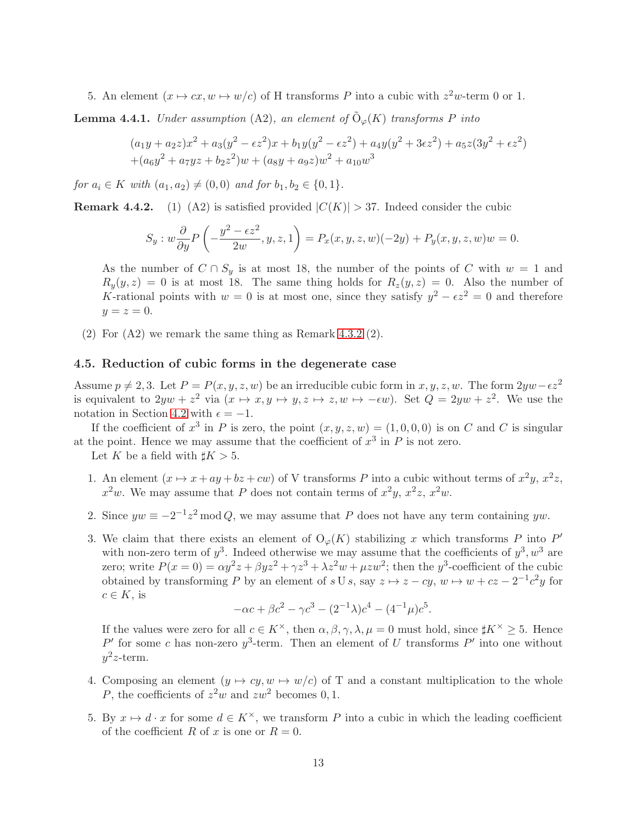5. An element  $(x \mapsto cx, w \mapsto w/c)$  of H transforms P into a cubic with  $z^2w$ -term 0 or 1.

**Lemma 4.4.1.** Under assumption (A2), an element of  $\tilde{O}_{\varphi}(K)$  transforms P into

$$
(a_1y + a_2z)x^2 + a_3(y^2 - \epsilon z^2)x + b_1y(y^2 - \epsilon z^2) + a_4y(y^2 + 3\epsilon z^2) + a_5z(3y^2 + \epsilon z^2)
$$
  
+
$$
(a_6y^2 + a_7yz + b_2z^2)w + (a_8y + a_9z)w^2 + a_{10}w^3
$$

for  $a_i \in K$  with  $(a_1, a_2) \neq (0, 0)$  and for  $b_1, b_2 \in \{0, 1\}.$ 

**Remark 4.4.2.** (1) (A2) is satisfied provided  $|C(K)| > 37$ . Indeed consider the cubic

$$
S_y: w\frac{\partial}{\partial y}P\left(-\frac{y^2-\epsilon z^2}{2w}, y, z, 1\right) = P_x(x, y, z, w)(-2y) + P_y(x, y, z, w)w = 0.
$$

As the number of  $C \cap S_y$  is at most 18, the number of the points of C with  $w = 1$  and  $R_y(y, z) = 0$  is at most 18. The same thing holds for  $R_z(y, z) = 0$ . Also the number of K-rational points with  $w = 0$  is at most one, since they satisfy  $y^2 - \epsilon z^2 = 0$  and therefore  $y=z=0.$ 

(2) For (A2) we remark the same thing as Remark 4.3.2 (2).

## 4.5. Reduction of cubic forms in the degenerate case

Assume  $p \neq 2, 3$ . Let  $P = P(x, y, z, w)$  be an irreducible cubic form in  $x, y, z, w$ . The form  $2yw-\epsilon z^2$ is equivalent to  $2yw + z^2$  via  $(x \mapsto x, y \mapsto y, z \mapsto z, w \mapsto -\epsilon w)$ . Set  $Q = 2yw + z^2$ . We use the notation in Section [4.2](#page-9-0) with  $\epsilon = -1$ .

If the coefficient of  $x^3$  in P is zero, the point  $(x, y, z, w) = (1, 0, 0, 0)$  is on C and C is singular at the point. Hence we may assume that the coefficient of  $x^3$  in  $P$  is not zero.

Let K be a field with  $\sharp K > 5$ .

- 1. An element  $(x \mapsto x + ay + bz + cw)$  of V transforms P into a cubic without terms of  $x^2y$ ,  $x^2z$ ,  $x^2w$ . We may assume that P does not contain terms of  $x^2y$ ,  $x^2z$ ,  $x^2w$ .
- 2. Since  $yw \equiv -2^{-1}z^2 \mod Q$ , we may assume that P does not have any term containing  $yw$ .
- 3. We claim that there exists an element of  $O_{\varphi}(K)$  stabilizing x which transforms P into P' with non-zero term of  $y^3$ . Indeed otherwise we may assume that the coefficients of  $y^3, w^3$  are zero; write  $P(x=0) = \alpha y^2 z + \beta y z^2 + \gamma z^3 + \lambda z^2 w + \mu z w^2$ ; then the  $y^3$ -coefficient of the cubic obtained by transforming P by an element of  $s \cup s$ , say  $z \mapsto z - cy$ ,  $w \mapsto w + cz - 2^{-1}c^2y$  for  $c \in K$ , is

$$
-\alpha c + \beta c^2 - \gamma c^3 - (2^{-1}\lambda)c^4 - (4^{-1}\mu)c^5.
$$

If the values were zero for all  $c \in K^{\times}$ , then  $\alpha, \beta, \gamma, \lambda, \mu = 0$  must hold, since  $\sharp K^{\times} \geq 5$ . Hence P' for some c has non-zero  $y^3$ -term. Then an element of U transforms P' into one without  $y^2z$ -term.

- 4. Composing an element  $(y \mapsto cy, w \mapsto w/c)$  of T and a constant multiplication to the whole P, the coefficients of  $z^2w$  and  $zw^2$  becomes 0, 1.
- 5. By  $x \mapsto d \cdot x$  for some  $d \in K^{\times}$ , we transform P into a cubic in which the leading coefficient of the coefficient R of x is one or  $R = 0$ .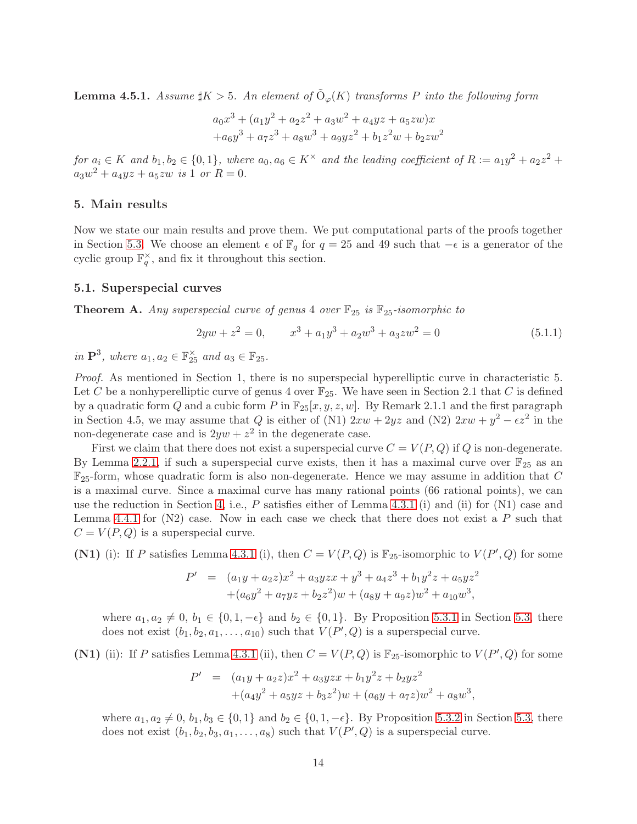<span id="page-13-2"></span>**Lemma 4.5.1.** Assume  $\sharp K > 5$ . An element of  $\tilde{O}_{\varphi}(K)$  transforms P into the following form

$$
a_0x^3 + (a_1y^2 + a_2z^2 + a_3w^2 + a_4yz + a_5zw)x
$$
  
+
$$
a_6y^3 + a_7z^3 + a_8w^3 + a_9yz^2 + b_1z^2w + b_2zw^2
$$

for  $a_i \in K$  and  $b_1, b_2 \in \{0, 1\}$ , where  $a_0, a_6 \in K^\times$  and the leading coefficient of  $R := a_1y^2 + a_2z^2 +$  $a_3w^2 + a_4yz + a_5zw$  is 1 or  $R = 0$ .

#### <span id="page-13-0"></span>5. Main results

Now we state our main results and prove them. We put computational parts of the proofs together in Section [5.3.](#page-17-0) We choose an element  $\epsilon$  of  $\mathbb{F}_q$  for  $q = 25$  and 49 such that  $-\epsilon$  is a generator of the cyclic group  $\mathbb{F}_q^{\times}$ , and fix it throughout this section.

#### <span id="page-13-1"></span>5.1. Superspecial curves

<span id="page-13-3"></span>**Theorem A.** Any superspecial curve of genus 4 over  $\mathbb{F}_{25}$  is  $\mathbb{F}_{25}$ -isomorphic to

$$
2yw + z^2 = 0, \t x^3 + a_1y^3 + a_2w^3 + a_3zw^2 = 0 \t (5.1.1)
$$

in  $\mathbf{P}^3$ , where  $a_1, a_2 \in \mathbb{F}_{25}^{\times}$  and  $a_3 \in \mathbb{F}_{25}$ .

Proof. As mentioned in Section 1, there is no superspecial hyperelliptic curve in characteristic 5. Let C be a nonhyperelliptic curve of genus 4 over  $\mathbb{F}_{25}$ . We have seen in Section 2.1 that C is defined by a quadratic form Q and a cubic form P in  $\mathbb{F}_{25}[x, y, z, w]$ . By Remark 2.1.1 and the first paragraph in Section 4.5, we may assume that Q is either of (N1)  $2xw + 2yz$  and (N2)  $2xw + y^2 - \epsilon z^2$  in the non-degenerate case and is  $2yw + z^2$  in the degenerate case.

First we claim that there does not exist a superspecial curve  $C = V(P,Q)$  if Q is non-degenerate. By Lemma [2.2.1,](#page-3-1) if such a superspecial curve exists, then it has a maximal curve over  $\mathbb{F}_{25}$  as an  $\mathbb{F}_{25}$ -form, whose quadratic form is also non-degenerate. Hence we may assume in addition that C is a maximal curve. Since a maximal curve has many rational points (66 rational points), we can use the reduction in Section [4,](#page-7-0) i.e., P satisfies either of Lemma [4.3.1](#page-13-2) (i) and (ii) for  $(N1)$  case and Lemma [4.4.1](#page-13-2) for  $(N2)$  case. Now in each case we check that there does not exist a P such that  $C = V(P,Q)$  is a superspecial curve.

(N1) (i): If P satisfies Lemma [4.3.1](#page-13-2) (i), then  $C = V(P,Q)$  is  $\mathbb{F}_{25}$ -isomorphic to  $V(P',Q)$  for some

$$
P' = (a_1y + a_2z)x^2 + a_3yzx + y^3 + a_4z^3 + b_1y^2z + a_5yz^2
$$
  
+  $(a_6y^2 + a_7yz + b_2z^2)w + (a_8y + a_9z)w^2 + a_{10}w^3$ ,

where  $a_1, a_2 \neq 0, b_1 \in \{0, 1, -\epsilon\}$  and  $b_2 \in \{0, 1\}$ . By Proposition [5.3.1](#page-24-0) in Section [5.3,](#page-17-0) there does not exist  $(b_1, b_2, a_1, \ldots, a_{10})$  such that  $V(P', Q)$  is a superspecial curve.

(N1) (ii): If P satisfies Lemma [4.3.1](#page-13-2) (ii), then  $C = V(P,Q)$  is  $\mathbb{F}_{25}$ -isomorphic to  $V(P',Q)$  for some

$$
P' = (a_1y + a_2z)x^2 + a_3yzx + b_1y^2z + b_2yz^2
$$
  
+ $(a_4y^2 + a_5yz + b_3z^2)w + (a_6y + a_7z)w^2 + a_8w$ 

where  $a_1, a_2 \neq 0, b_1, b_3 \in \{0, 1\}$  and  $b_2 \in \{0, 1, -\epsilon\}$ . By Proposition [5.3.2](#page-18-0) in Section [5.3,](#page-17-0) there does not exist  $(b_1, b_2, b_3, a_1, \ldots, a_8)$  such that  $V(P', Q)$  is a superspecial curve.

3 ,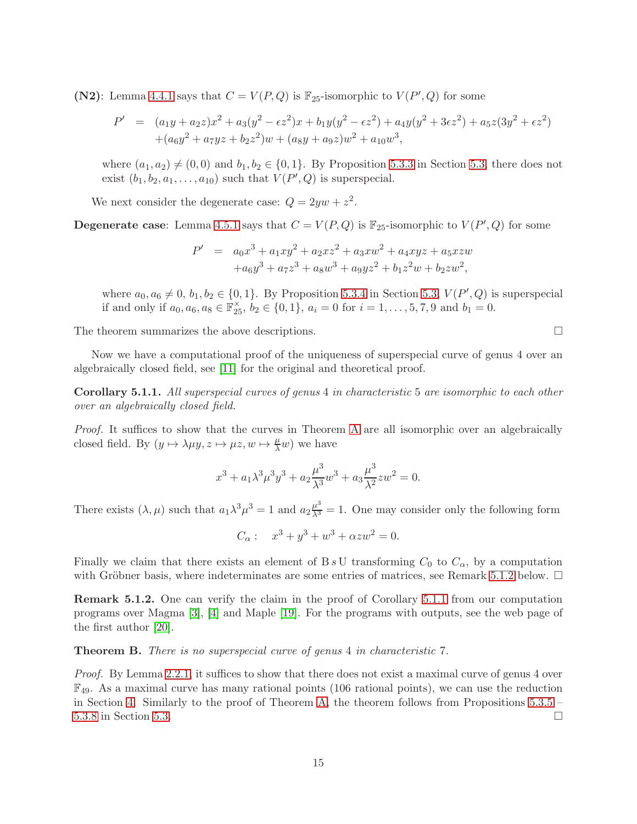(N2): Lemma [4.4.1](#page-13-2) says that  $C = V(P,Q)$  is  $\mathbb{F}_{25}$ -isomorphic to  $V(P',Q)$  for some

$$
P' = (a_1y + a_2z)x^2 + a_3(y^2 - \epsilon z^2)x + b_1y(y^2 - \epsilon z^2) + a_4y(y^2 + 3\epsilon z^2) + a_5z(3y^2 + \epsilon z^2) + (a_6y^2 + a_7yz + b_2z^2)w + (a_8y + a_9z)w^2 + a_{10}w^3,
$$

where  $(a_1, a_2) \neq (0, 0)$  and  $b_1, b_2 \in \{0, 1\}$ . By Proposition [5.3.3](#page-19-0) in Section [5.3,](#page-17-0) there does not exist  $(b_1, b_2, a_1, \ldots, a_{10})$  such that  $V(P', Q)$  is superspecial.

We next consider the degenerate case:  $Q = 2yw + z^2$ .

**Degenerate case:** Lemma [4.5.1](#page-13-2) says that  $C = V(P,Q)$  is  $\mathbb{F}_{25}$ -isomorphic to  $V(P',Q)$  for some

$$
P' = a_0x^3 + a_1xy^2 + a_2xz^2 + a_3xw^2 + a_4xyz + a_5xzw
$$
  
+ $a_6y^3 + a_7z^3 + a_8w^3 + a_9yz^2 + b_1z^2w + b_2zw^2$ ,

where  $a_0, a_6 \neq 0, b_1, b_2 \in \{0, 1\}$ . By Proposition [5.3.4](#page-19-1) in Section [5.3,](#page-17-0)  $V(P', Q)$  is superspecial if and only if  $a_0, a_6, a_8 \in \mathbb{F}_{25}^{\times}$ ,  $b_2 \in \{0, 1\}$ ,  $a_i = 0$  for  $i = 1, ..., 5, 7, 9$  and  $b_1 = 0$ .

The theorem summarizes the above descriptions.

Now we have a computational proof of the uniqueness of superspecial curve of genus 4 over an algebraically closed field, see [\[11\]](#page-32-1) for the original and theoretical proof.

Corollary 5.1.1. All superspecial curves of genus 4 in characteristic 5 are isomorphic to each other over an algebraically closed field.

Proof. It suffices to show that the curves in Theorem [A](#page-13-3) are all isomorphic over an algebraically closed field. By  $(y \mapsto \lambda \mu y, z \mapsto \mu z, w \mapsto \frac{\mu}{\lambda} w)$  we have

$$
x^{3} + a_{1} \lambda^{3} \mu^{3} y^{3} + a_{2} \frac{\mu^{3}}{\lambda^{3}} w^{3} + a_{3} \frac{\mu^{3}}{\lambda^{2}} z w^{2} = 0.
$$

There exists  $(\lambda, \mu)$  such that  $a_1 \lambda^3 \mu^3 = 1$  and  $a_2 \frac{\mu^3}{\lambda^3} = 1$ . One may consider only the following form

 $C_{\alpha}$ :  $x^3 + y^3 + w^3 + \alpha z w^2 = 0.$ 

Finally we claim that there exists an element of B s U transforming  $C_0$  to  $C_{\alpha}$ , by a computation with Gröbner basis, where indeterminates are some entries of matrices, see Remark [5.1.2](#page-18-0) below.  $\Box$ 

Remark 5.1.2. One can verify the claim in the proof of Corollary [5.1.1](#page-24-0) from our computation programs over Magma [\[3\]](#page-32-3), [\[4\]](#page-32-6) and Maple [\[19\]](#page-33-5). For the programs with outputs, see the web page of the first author [\[20\]](#page-33-2).

<span id="page-14-0"></span>Theorem B. There is no superspecial curve of genus 4 in characteristic 7.

Proof. By Lemma [2.2.1,](#page-3-1) it suffices to show that there does not exist a maximal curve of genus 4 over  $\mathbb{F}_{49}$ . As a maximal curve has many rational points (106 rational points), we can use the reduction in Section [4.](#page-7-0) Similarly to the proof of Theorem [A,](#page-13-3) the theorem follows from Propositions  $5.3.5$  – [5.3.8](#page-22-0) in Section [5.3.](#page-17-0)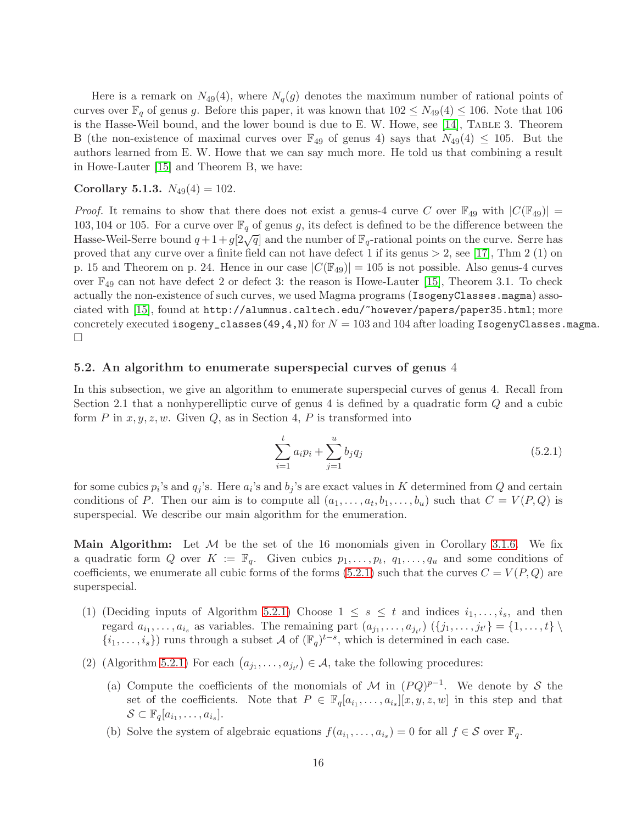Here is a remark on  $N_{49}(4)$ , where  $N_q(g)$  denotes the maximum number of rational points of curves over  $\mathbb{F}_q$  of genus g. Before this paper, it was known that  $102 \leq N_{49}(4) \leq 106$ . Note that 106 is the Hasse-Weil bound, and the lower bound is due to E. W. Howe, see  $[14]$ , TABLE 3. Theorem B (the non-existence of maximal curves over  $\mathbb{F}_{49}$  of genus 4) says that  $N_{49}(4) \leq 105$ . But the authors learned from E. W. Howe that we can say much more. He told us that combining a result in Howe-Lauter [\[15\]](#page-33-7) and Theorem B, we have:

## Corollary 5.1.3.  $N_{49}(4) = 102$ .

*Proof.* It remains to show that there does not exist a genus-4 curve C over  $\mathbb{F}_{49}$  with  $|C(\mathbb{F}_{49})|$  = 103, 104 or 105. For a curve over  $\mathbb{F}_q$  of genus g, its defect is defined to be the difference between the Hasse-Weil-Serre bound  $q+1+q[2\sqrt{q}]$  and the number of  $\mathbb{F}_q$ -rational points on the curve. Serre has proved that any curve over a finite field can not have defect 1 if its genus  $> 2$ , see [\[17\]](#page-33-8), Thm 2 (1) on p. 15 and Theorem on p. 24. Hence in our case  $|C(\mathbb{F}_{49})| = 105$  is not possible. Also genus-4 curves over  $\mathbb{F}_{49}$  can not have defect 2 or defect 3: the reason is Howe-Lauter [\[15\]](#page-33-7), Theorem 3.1. To check actually the non-existence of such curves, we used Magma programs (IsogenyClasses.magma) associated with [\[15\]](#page-33-7), found at http://alumnus.caltech.edu/~however/papers/paper35.html; more concretely executed isogeny\_classes(49,4,N) for  $N = 103$  and 104 after loading IsogenyClasses.magma.  $\Box$ 

## <span id="page-15-0"></span>5.2. An algorithm to enumerate superspecial curves of genus 4

In this subsection, we give an algorithm to enumerate superspecial curves of genus 4. Recall from Section 2.1 that a nonhyperelliptic curve of genus 4 is defined by a quadratic form Q and a cubic form  $P$  in  $x, y, z, w$ . Given  $Q$ , as in Section 4,  $P$  is transformed into

$$
\sum_{i=1}^{t} a_i p_i + \sum_{j=1}^{u} b_j q_j \tag{5.2.1}
$$

for some cubics  $p_i$ 's and  $q_j$ 's. Here  $a_i$ 's and  $b_j$ 's are exact values in K determined from Q and certain conditions of P. Then our aim is to compute all  $(a_1, \ldots, a_t, b_1, \ldots, b_u)$  such that  $C = V(P,Q)$  is superspecial. We describe our main algorithm for the enumeration.

**Main Algorithm:** Let  $M$  be the set of the 16 monomials given in Corollary [3.1.6.](#page-6-1) We fix a quadratic form Q over  $K := \mathbb{F}_q$ . Given cubics  $p_1, \ldots, p_t, q_1, \ldots, q_u$  and some conditions of coefficients, we enumerate all cubic forms of the forms  $(5.2.1)$  such that the curves  $C = V(P,Q)$  are superspecial.

- (1) (Deciding inputs of Algorithm [5.2.1\)](#page-16-0) Choose  $1 \leq s \leq t$  and indices  $i_1, \ldots, i_s$ , and then regard  $a_{i_1}, \ldots, a_{i_s}$  as variables. The remaining part  $(a_{j_1}, \ldots, a_{j_{t'}})$   $(\{j_1, \ldots, j_{t'}\} = \{1, \ldots, t\} \setminus$  $\{i_1, \ldots, i_s\}$  runs through a subset A of  $(\mathbb{F}_q)^{t-s}$ , which is determined in each case.
- (2) (Algorithm [5.2.1\)](#page-16-0) For each  $(a_{j_1},..., a_{j_{t'}}) \in \mathcal{A}$ , take the following procedures:
	- (a) Compute the coefficients of the monomials of M in  $(PQ)^{p-1}$ . We denote by S the set of the coefficients. Note that  $P \in \mathbb{F}_q[a_{i_1},\ldots,a_{i_s}][x,y,z,w]$  in this step and that  $\mathcal{S} \subset \mathbb{F}_q[a_{i_1},\ldots,a_{i_s}].$
	- (b) Solve the system of algebraic equations  $f(a_{i_1},..., a_{i_s}) = 0$  for all  $f \in S$  over  $\mathbb{F}_q$ .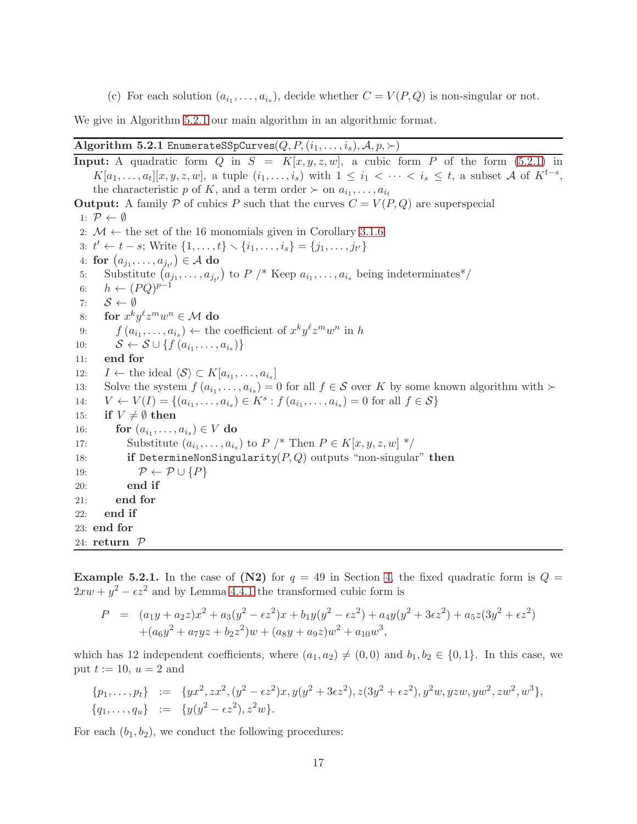(c) For each solution  $(a_{i_1},...,a_{i_s})$ , decide whether  $C = V(P,Q)$  is non-singular or not.

We give in Algorithm [5.2.1](#page-16-0) our main algorithm in an algorithmic format.

#### <span id="page-16-0"></span>Algorithm 5.2.1 EnumerateSSpCurves( $Q, P, (i_1, \ldots, i_s), \mathcal{A}, p, \succ$ )

**Input:** A quadratic form Q in  $S = K[x, y, z, w]$ , a cubic form P of the form [\(5.2.1\)](#page-26-1) in  $K[a_1,\ldots,a_t][x,y,z,w],$  a tuple  $(i_1,\ldots,i_s)$  with  $1\leq i_1<\cdots, a subset A of  $K^{t-s}$ ,$ the characteristic p of K, and a term order  $\succ$  on  $a_{i_1}, \ldots, a_{i_t}$ **Output:** A family P of cubics P such that the curves  $C = V(P,Q)$  are superspecial 1:  $\mathcal{P} \leftarrow \emptyset$ 2:  $M \leftarrow$  the set of the 16 monomials given in Corollary [3.1.6](#page-6-1) 3:  $t' \leftarrow t - s$ ; Write  $\{1, \ldots, t\} \setminus \{i_1, \ldots, i_s\} = \{j_1, \ldots, j_{t'}\}$ 4: for  $(a_{j_1}, \ldots, a_{j_{t'}}) \in \mathcal{A}$  do 5: Substitute  $(a_{j_1},...,a_{j_{t'}})$  to  $P \nmid^*$  Keep  $a_{i_1},...,a_{i_s}$  being indeterminates<sup>\*</sup>/ 6:  $h \leftarrow (PQ)^{p-1}$ 7:  $S \leftarrow \emptyset$ <br>8: **for**  $x^k y$ 8: for  $x^k y^{\ell} z^m w^n \in \mathcal{M}$  do 9:  $f(a_{i_1},...,a_{i_s}) \leftarrow$  the coefficient of  $x^k y^{\ell} z^m w^n$  in h 10:  $S \leftarrow S \cup \{f(a_{i_1}, \ldots, a_{i_s})\}$ 11: end for 12:  $I \leftarrow$  the ideal  $\langle S \rangle \subset K[a_{i_1}, \ldots, a_{i_s}]$ 13: Solve the system  $f(a_{i_1},...,a_{i_s})=0$  for all  $f \in S$  over K by some known algorithm with  $\succ$ 14:  $V \leftarrow V(I) = \{(a_{i_1}, \ldots, a_{i_s}) \in K^s : f(a_{i_1}, \ldots, a_{i_s}) = 0 \text{ for all } f \in S\}$ 15: if  $V \neq \emptyset$  then 16: **for**  $(a_{i_1}, \ldots, a_{i_s}) \in V$  **do** 17: Substitute  $(a_{i_1}, \ldots, a_{i_s})$  to  $P \nmid^*$  Then  $P \in K[x, y, z, w]$  \*/ 18: if DetermineNonSingularity $(P, Q)$  outputs "non-singular" then 19:  $\mathcal{P} \leftarrow \mathcal{P} \cup \{P\}$ <br>20: end if end if 21: end for 22: end if 23: end for 24: return  $P$ 

**Example 5.2.1.** In the case of (N2) for  $q = 49$  in Section [4,](#page-7-0) the fixed quadratic form is  $Q =$  $2xw + y^2 - \epsilon z^2$  and by Lemma [4.4.1](#page-13-2) the transformed cubic form is

$$
P = (a_1y + a_2z)x^2 + a_3(y^2 - \epsilon z^2)x + b_1y(y^2 - \epsilon z^2) + a_4y(y^2 + 3\epsilon z^2) + a_5z(3y^2 + \epsilon z^2) + (a_6y^2 + a_7yz + b_2z^2)w + (a_8y + a_9z)w^2 + a_{10}w^3,
$$

which has 12 independent coefficients, where  $(a_1, a_2) \neq (0, 0)$  and  $b_1, b_2 \in \{0, 1\}$ . In this case, we put  $t := 10$ ,  $u = 2$  and

$$
{p_1, \ldots, p_t} := \{ yx^2, zx^2, (y^2 - \epsilon z^2)x, y(y^2 + 3\epsilon z^2), z(3y^2 + \epsilon z^2), y^2w, yzw, yw^2, zw^2, w^3 \},
$$
  

$$
{q_1, \ldots, q_u} := \{ y(y^2 - \epsilon z^2), z^2w \}.
$$

For each  $(b_1, b_2)$ , we conduct the following procedures: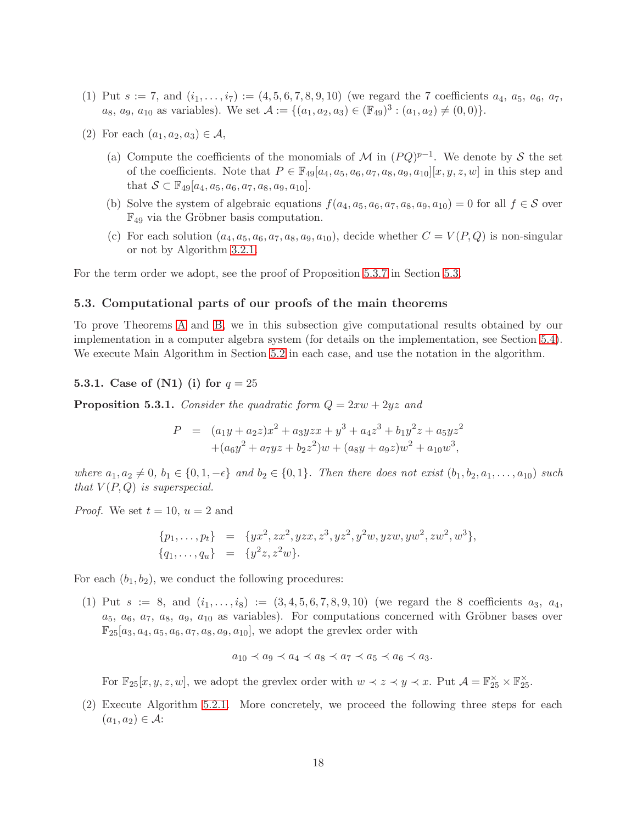- (1) Put  $s := 7$ , and  $(i_1, \ldots, i_7) := (4, 5, 6, 7, 8, 9, 10)$  (we regard the 7 coefficients  $a_4, a_5, a_6, a_7$ ,  $a_8, a_9, a_{10}$  as variables). We set  $\mathcal{A} := \{(a_1, a_2, a_3) \in (\mathbb{F}_{49})^3 : (a_1, a_2) \neq (0, 0)\}.$
- (2) For each  $(a_1, a_2, a_3) \in \mathcal{A}$ ,
	- (a) Compute the coefficients of the monomials of M in  $(PQ)^{p-1}$ . We denote by S the set of the coefficients. Note that  $P \in \mathbb{F}_{49}[a_4, a_5, a_6, a_7, a_8, a_9, a_{10}][x, y, z, w]$  in this step and that  $S \subset \mathbb{F}_{49}[a_4, a_5, a_6, a_7, a_8, a_9, a_{10}].$
	- (b) Solve the system of algebraic equations  $f(a_4, a_5, a_6, a_7, a_8, a_9, a_{10}) = 0$  for all  $f \in S$  over  $\mathbb{F}_{49}$  via the Gröbner basis computation.
	- (c) For each solution  $(a_4, a_5, a_6, a_7, a_8, a_9, a_{10})$ , decide whether  $C = V(P,Q)$  is non-singular or not by Algorithm [3.2.1.](#page-7-1)

<span id="page-17-0"></span>For the term order we adopt, see the proof of Proposition [5.3.7](#page-21-0) in Section [5.3.](#page-17-0)

#### 5.3. Computational parts of our proofs of the main theorems

To prove Theorems [A](#page-13-3) and [B,](#page-14-0) we in this subsection give computational results obtained by our implementation in a computer algebra system (for details on the implementation, see Section [5.4\)](#page-23-0). We execute Main Algorithm in Section [5.2](#page-15-0) in each case, and use the notation in the algorithm.

5.3.1. Case of (N1) (i) for  $q = 25$ 

**Proposition 5.3.1.** Consider the quadratic form  $Q = 2xw + 2yz$  and

$$
P = (a_1y + a_2z)x^2 + a_3yzx + y^3 + a_4z^3 + b_1y^2z + a_5yz^2
$$
  
+ $(a_6y^2 + a_7yz + b_2z^2)w + (a_8y + a_9z)w^2 + a_{10}w^3$ ,

where  $a_1, a_2 \neq 0, b_1 \in \{0, 1, -\epsilon\}$  and  $b_2 \in \{0, 1\}$ . Then there does not exist  $(b_1, b_2, a_1, \ldots, a_{10})$  such that  $V(P,Q)$  is superspecial.

*Proof.* We set  $t = 10$ ,  $u = 2$  and

$$
{p_1, \ldots, p_t} = {yx^2, zx^2, yzx, z^3, yz^2, y^2w, yzw, yw^2, zw^2, w^3},
$$
  

$$
{q_1, \ldots, q_u} = {y^2z, z^2w}.
$$

For each  $(b_1, b_2)$ , we conduct the following procedures:

(1) Put  $s := 8$ , and  $(i_1, \ldots, i_8) := (3, 4, 5, 6, 7, 8, 9, 10)$  (we regard the 8 coefficients  $a_3, a_4$ ,  $a_5, a_6, a_7, a_8, a_9, a_{10}$  as variables). For computations concerned with Gröbner bases over  $\mathbb{F}_{25}[a_3,a_4,a_5,a_6,a_7,a_8,a_9,a_{10}]$ , we adopt the grevlex order with

$$
a_{10} \prec a_9 \prec a_4 \prec a_8 \prec a_7 \prec a_5 \prec a_6 \prec a_3.
$$

For  $\mathbb{F}_{25}[x, y, z, w]$ , we adopt the grevlex order with  $w \prec z \prec y \prec x$ . Put  $\mathcal{A} = \mathbb{F}_{25}^{\times} \times \mathbb{F}_{25}^{\times}$ .

(2) Execute Algorithm [5.2.1.](#page-16-0) More concretely, we proceed the following three steps for each  $(a_1, a_2) \in \mathcal{A}$ :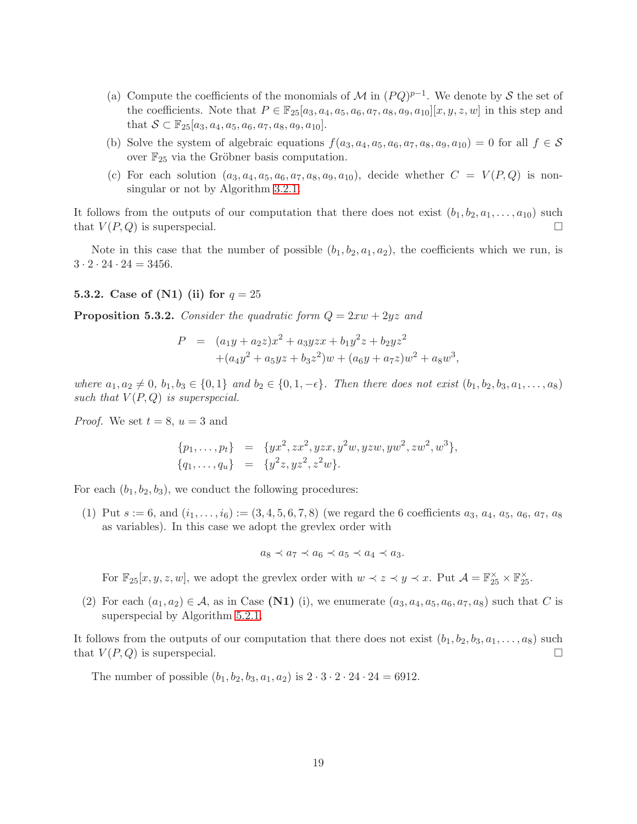- (a) Compute the coefficients of the monomials of M in  $(PQ)^{p-1}$ . We denote by S the set of the coefficients. Note that  $P \in \mathbb{F}_{25}[a_3, a_4, a_5, a_6, a_7, a_8, a_9, a_{10}][x, y, z, w]$  in this step and that  $S \subset \mathbb{F}_{25}[a_3, a_4, a_5, a_6, a_7, a_8, a_9, a_{10}].$
- (b) Solve the system of algebraic equations  $f(a_3, a_4, a_5, a_6, a_7, a_8, a_9, a_{10}) = 0$  for all  $f \in S$ over  $\mathbb{F}_{25}$  via the Gröbner basis computation.
- (c) For each solution  $(a_3, a_4, a_5, a_6, a_7, a_8, a_9, a_{10})$ , decide whether  $C = V(P,Q)$  is nonsingular or not by Algorithm [3.2.1.](#page-7-1)

It follows from the outputs of our computation that there does not exist  $(b_1, b_2, a_1, \ldots, a_{10})$  such that  $V(P,Q)$  is superspecial.

Note in this case that the number of possible  $(b_1, b_2, a_1, a_2)$ , the coefficients which we run, is  $3 \cdot 2 \cdot 24 \cdot 24 = 3456.$ 

## **5.3.2.** Case of (N1) (ii) for  $q = 25$

<span id="page-18-0"></span>**Proposition 5.3.2.** Consider the quadratic form  $Q = 2xw + 2yz$  and

$$
P = (a_1y + a_2z)x^2 + a_3yzx + b_1y^2z + b_2yz^2
$$
  
 
$$
+ (a_4y^2 + a_5yz + b_3z^2)w + (a_6y + a_7z)w^2 + a_8w^3,
$$

where  $a_1, a_2 \neq 0, b_1, b_3 \in \{0, 1\}$  and  $b_2 \in \{0, 1, -\epsilon\}$ . Then there does not exist  $(b_1, b_2, b_3, a_1, \ldots, a_8)$ such that  $V(P,Q)$  is superspecial.

*Proof.* We set  $t = 8$ ,  $u = 3$  and

$$
{p_1, \ldots, p_t} = {yx^2, zx^2, yzx, y^2w, yzw, yw^2, zw^2, w^3},
$$
  

$$
{q_1, \ldots, q_u} = {y^2z, yz^2, z^2w}.
$$

For each  $(b_1, b_2, b_3)$ , we conduct the following procedures:

(1) Put  $s := 6$ , and  $(i_1, \ldots, i_6) := (3, 4, 5, 6, 7, 8)$  (we regard the 6 coefficients  $a_3, a_4, a_5, a_6, a_7, a_8$ as variables). In this case we adopt the grevlex order with

$$
a_8 \prec a_7 \prec a_6 \prec a_5 \prec a_4 \prec a_3.
$$

For  $\mathbb{F}_{25}[x, y, z, w]$ , we adopt the grevlex order with  $w \prec z \prec y \prec x$ . Put  $\mathcal{A} = \mathbb{F}_{25}^{\times} \times \mathbb{F}_{25}^{\times}$ .

(2) For each  $(a_1, a_2) \in \mathcal{A}$ , as in Case (N1) (i), we enumerate  $(a_3, a_4, a_5, a_6, a_7, a_8)$  such that C is superspecial by Algorithm [5.2.1.](#page-16-0)

It follows from the outputs of our computation that there does not exist  $(b_1, b_2, b_3, a_1, \ldots, a_8)$  such that  $V(P,Q)$  is superspecial.

The number of possible  $(b_1, b_2, b_3, a_1, a_2)$  is  $2 \cdot 3 \cdot 2 \cdot 24 \cdot 24 = 6912$ .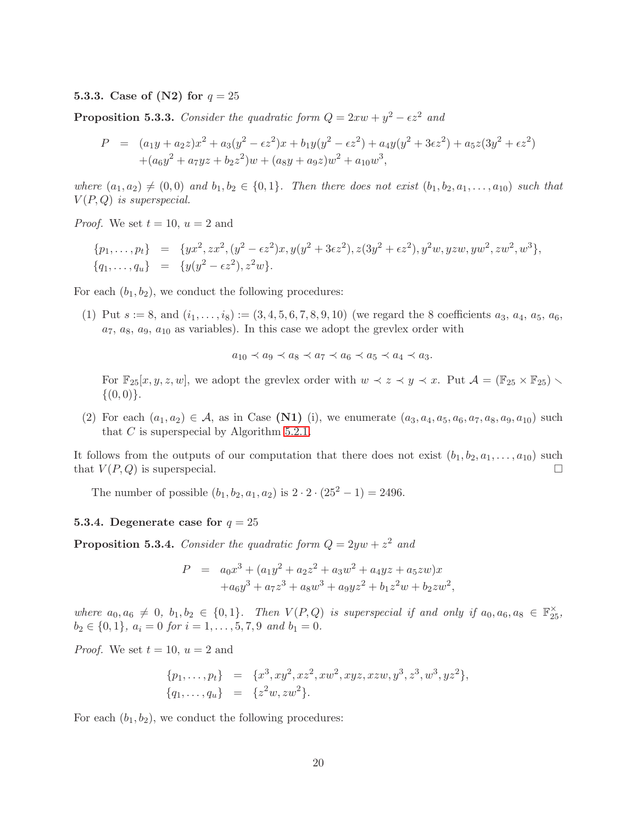#### **5.3.3.** Case of (N2) for  $q = 25$

<span id="page-19-0"></span>**Proposition 5.3.3.** Consider the quadratic form  $Q = 2xw + y^2 - \epsilon z^2$  and

$$
P = (a_1y + a_2z)x^2 + a_3(y^2 - \epsilon z^2)x + b_1y(y^2 - \epsilon z^2) + a_4y(y^2 + 3\epsilon z^2) + a_5z(3y^2 + \epsilon z^2) + (a_6y^2 + a_7yz + b_2z^2)w + (a_8y + a_9z)w^2 + a_{10}w^3,
$$

where  $(a_1, a_2) \neq (0, 0)$  and  $b_1, b_2 \in \{0, 1\}$ . Then there does not exist  $(b_1, b_2, a_1, \ldots, a_{10})$  such that  $V(P,Q)$  is superspecial.

*Proof.* We set  $t = 10$ ,  $u = 2$  and

$$
{p_1, \ldots, p_t} = {yx^2, zx^2, (y^2 - \epsilon z^2)x, y(y^2 + 3\epsilon z^2), z(3y^2 + \epsilon z^2), y^2w, yzw, yw^2, zw^2, w^3},
$$
  

$$
{q_1, \ldots, q_u} = {y(y^2 - \epsilon z^2), z^2w}.
$$

For each  $(b_1, b_2)$ , we conduct the following procedures:

(1) Put  $s := 8$ , and  $(i_1, \ldots, i_8) := (3, 4, 5, 6, 7, 8, 9, 10)$  (we regard the 8 coefficients  $a_3, a_4, a_5, a_6$ ,  $a_7, a_8, a_9, a_{10}$  as variables). In this case we adopt the grevlex order with

$$
a_{10} \prec a_9 \prec a_8 \prec a_7 \prec a_6 \prec a_5 \prec a_4 \prec a_3.
$$

For  $\mathbb{F}_{25}[x, y, z, w]$ , we adopt the grevlex order with  $w \prec z \prec y \prec x$ . Put  $\mathcal{A} = (\mathbb{F}_{25} \times \mathbb{F}_{25})$  $\{(0,0)\}.$ 

(2) For each  $(a_1, a_2) \in A$ , as in Case (N1) (i), we enumerate  $(a_3, a_4, a_5, a_6, a_7, a_8, a_9, a_{10})$  such that  $C$  is superspecial by Algorithm [5.2.1.](#page-16-0)

It follows from the outputs of our computation that there does not exist  $(b_1, b_2, a_1, \ldots, a_{10})$  such that  $V(P,Q)$  is superspecial.

The number of possible  $(b_1, b_2, a_1, a_2)$  is  $2 \cdot 2 \cdot (25^2 - 1) = 2496$ .

#### **5.3.4.** Degenerate case for  $q = 25$

<span id="page-19-1"></span>**Proposition 5.3.4.** Consider the quadratic form  $Q = 2yw + z^2$  and

$$
P = a_0x^3 + (a_1y^2 + a_2z^2 + a_3w^2 + a_4yz + a_5zw)x
$$
  
+ $a_6y^3 + a_7z^3 + a_8w^3 + a_9yz^2 + b_1z^2w + b_2zw^2,$ 

where  $a_0, a_6 \neq 0, b_1, b_2 \in \{0, 1\}$ . Then  $V(P, Q)$  is superspecial if and only if  $a_0, a_6, a_8 \in \mathbb{F}_{25}^{\times}$ ,  $b_2 \in \{0, 1\}, a_i = 0 \text{ for } i = 1, \ldots, 5, 7, 9 \text{ and } b_1 = 0.$ 

*Proof.* We set  $t = 10$ ,  $u = 2$  and

$$
{p_1, \ldots, p_t} = {x^3, xy^2, xz^2, xw^2, xyz, xzw, y^3, z^3, w^3, yz^2},
$$
  

$$
{q_1, \ldots, q_u} = {z^2w, zw^2}.
$$

For each  $(b_1, b_2)$ , we conduct the following procedures: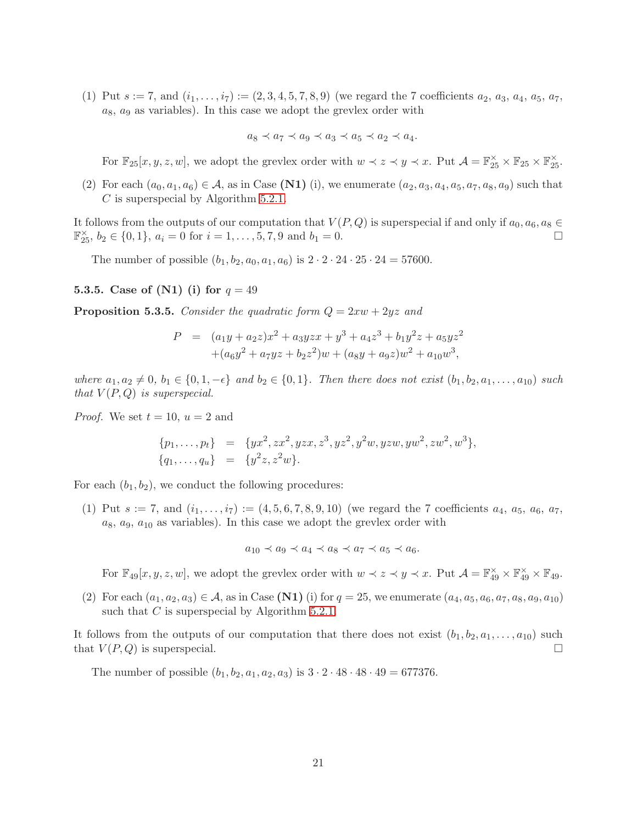(1) Put  $s := 7$ , and  $(i_1, \ldots, i_7) := (2, 3, 4, 5, 7, 8, 9)$  (we regard the 7 coefficients  $a_2, a_3, a_4, a_5, a_7$ ,  $a_8$ ,  $a_9$  as variables). In this case we adopt the grevlex order with

$$
a_8 \prec a_7 \prec a_9 \prec a_3 \prec a_5 \prec a_2 \prec a_4.
$$

For  $\mathbb{F}_{25}[x, y, z, w]$ , we adopt the grevlex order with  $w \prec z \prec y \prec x$ . Put  $\mathcal{A} = \mathbb{F}_{25}^{\times} \times \mathbb{F}_{25} \times \mathbb{F}_{25}^{\times}$ .

(2) For each  $(a_0, a_1, a_6) \in \mathcal{A}$ , as in Case (N1) (i), we enumerate  $(a_2, a_3, a_4, a_5, a_7, a_8, a_9)$  such that C is superspecial by Algorithm [5.2.1.](#page-16-0)

It follows from the outputs of our computation that  $V(P,Q)$  is superspecial if and only if  $a_0, a_6, a_8 \in \mathbb{F}_{25}^{\times}$ ,  $b_2 \in \{0,1\}$ ,  $a_i = 0$  for  $i = 1, \ldots, 5, 7, 9$  and  $b_1 = 0$ .  $\mathbb{F}_{25}^{\times}$ ,  $b_2 \in \{0, 1\}$ ,  $a_i = 0$  for  $i = 1, ..., 5, 7, 9$  and  $b_1 = 0$ .

The number of possible  $(b_1, b_2, a_0, a_1, a_6)$  is  $2 \cdot 2 \cdot 24 \cdot 25 \cdot 24 = 57600$ .

#### **5.3.5.** Case of (N1) (i) for  $q = 49$

<span id="page-20-0"></span>**Proposition 5.3.5.** Consider the quadratic form  $Q = 2xw + 2yz$  and

$$
P = (a_1y + a_2z)x^2 + a_3yzx + y^3 + a_4z^3 + b_1y^2z + a_5yz^2
$$
  
+ $(a_6y^2 + a_7yz + b_2z^2)w + (a_8y + a_9z)w^2 + a_{10}w^3$ ,

where  $a_1, a_2 \neq 0, b_1 \in \{0, 1, -\epsilon\}$  and  $b_2 \in \{0, 1\}$ . Then there does not exist  $(b_1, b_2, a_1, \ldots, a_{10})$  such that  $V(P,Q)$  is superspecial.

*Proof.* We set  $t = 10$ ,  $u = 2$  and

$$
{p_1, \ldots, p_t} = {yx^2, zx^2, yzx, z^3, yz^2, y^2w, yzw, yw^2, zw^2, w^3},
$$
  

$$
{q_1, \ldots, q_u} = {y^2z, z^2w}.
$$

For each  $(b_1, b_2)$ , we conduct the following procedures:

(1) Put  $s := 7$ , and  $(i_1, \ldots, i_7) := (4, 5, 6, 7, 8, 9, 10)$  (we regard the 7 coefficients  $a_4, a_5, a_6, a_7$ ,  $a_8, a_9, a_{10}$  as variables). In this case we adopt the grevlex order with

 $a_{10} \prec a_9 \prec a_4 \prec a_8 \prec a_7 \prec a_5 \prec a_6.$ 

For  $\mathbb{F}_{49}[x, y, z, w]$ , we adopt the grevlex order with  $w \prec z \prec y \prec x$ . Put  $\mathcal{A} = \mathbb{F}_{49}^{\times} \times \mathbb{F}_{49}^{\times} \times \mathbb{F}_{49}$ .

(2) For each  $(a_1, a_2, a_3) \in A$ , as in Case (N1) (i) for  $q = 25$ , we enumerate  $(a_4, a_5, a_6, a_7, a_8, a_9, a_{10})$ such that  $C$  is superspecial by Algorithm [5.2.1.](#page-16-0)

It follows from the outputs of our computation that there does not exist  $(b_1, b_2, a_1, \ldots, a_{10})$  such that  $V(P,Q)$  is superspecial.

The number of possible  $(b_1, b_2, a_1, a_2, a_3)$  is  $3 \cdot 2 \cdot 48 \cdot 48 \cdot 49 = 677376$ .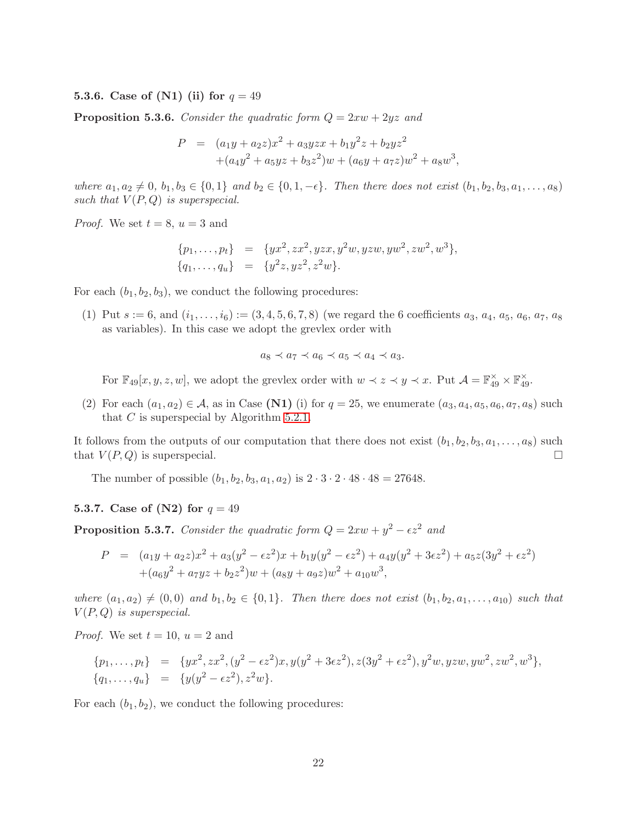## **5.3.6.** Case of (N1) (ii) for  $q = 49$

**Proposition 5.3.6.** Consider the quadratic form  $Q = 2xw + 2yz$  and

$$
P = (a_1y + a_2z)x^2 + a_3yzx + b_1y^2z + b_2yz^2
$$
  
+ $(a_4y^2 + a_5yz + b_3z^2)w + (a_6y + a_7z)w^2 + a_8w^3$ ,

where  $a_1, a_2 \neq 0, b_1, b_3 \in \{0, 1\}$  and  $b_2 \in \{0, 1, -\epsilon\}$ . Then there does not exist  $(b_1, b_2, b_3, a_1, \ldots, a_8)$ such that  $V(P,Q)$  is superspecial.

*Proof.* We set  $t = 8$ ,  $u = 3$  and

$$
{p_1, \ldots, p_t} = {yx^2, zx^2, yzx, y^2w, yzw, yw^2, zw^2, w^3},
$$
  

$$
{q_1, \ldots, q_u} = {y^2z, yz^2, z^2w}.
$$

For each  $(b_1, b_2, b_3)$ , we conduct the following procedures:

(1) Put  $s := 6$ , and  $(i_1, \ldots, i_6) := (3, 4, 5, 6, 7, 8)$  (we regard the 6 coefficients  $a_3, a_4, a_5, a_6, a_7, a_8$ as variables). In this case we adopt the grevlex order with

$$
a_8 \prec a_7 \prec a_6 \prec a_5 \prec a_4 \prec a_3.
$$

For  $\mathbb{F}_{49}[x, y, z, w]$ , we adopt the grevlex order with  $w \prec z \prec y \prec x$ . Put  $\mathcal{A} = \mathbb{F}_{49}^{\times} \times \mathbb{F}_{49}^{\times}$ .

(2) For each  $(a_1, a_2) \in \mathcal{A}$ , as in Case (N1) (i) for  $q = 25$ , we enumerate  $(a_3, a_4, a_5, a_6, a_7, a_8)$  such that  $C$  is superspecial by Algorithm [5.2.1.](#page-16-0)

It follows from the outputs of our computation that there does not exist  $(b_1, b_2, b_3, a_1, \ldots, a_8)$  such that  $V(P,Q)$  is superspecial.

The number of possible  $(b_1, b_2, b_3, a_1, a_2)$  is  $2 \cdot 3 \cdot 2 \cdot 48 \cdot 48 = 27648$ .

#### 5.3.7. Case of (N2) for  $q = 49$

<span id="page-21-0"></span>**Proposition 5.3.7.** Consider the quadratic form  $Q = 2xw + y^2 - \epsilon z^2$  and

$$
P = (a_1y + a_2z)x^2 + a_3(y^2 - \epsilon z^2)x + b_1y(y^2 - \epsilon z^2) + a_4y(y^2 + 3\epsilon z^2) + a_5z(3y^2 + \epsilon z^2) + (a_6y^2 + a_7yz + b_2z^2)w + (a_8y + a_9z)w^2 + a_{10}w^3,
$$

where  $(a_1, a_2) \neq (0, 0)$  and  $b_1, b_2 \in \{0, 1\}$ . Then there does not exist  $(b_1, b_2, a_1, \ldots, a_{10})$  such that  $V(P,Q)$  is superspecial.

*Proof.* We set  $t = 10$ ,  $u = 2$  and

$$
{p_1, \ldots, p_t} = {yx^2, zx^2, (y^2 - \epsilon z^2)x, y(y^2 + 3\epsilon z^2), z(3y^2 + \epsilon z^2), y^2w, yzw, yw^2, zw^2, w^3},
$$
  

$$
{q_1, \ldots, q_u} = {y(y^2 - \epsilon z^2), z^2w}.
$$

For each  $(b_1, b_2)$ , we conduct the following procedures: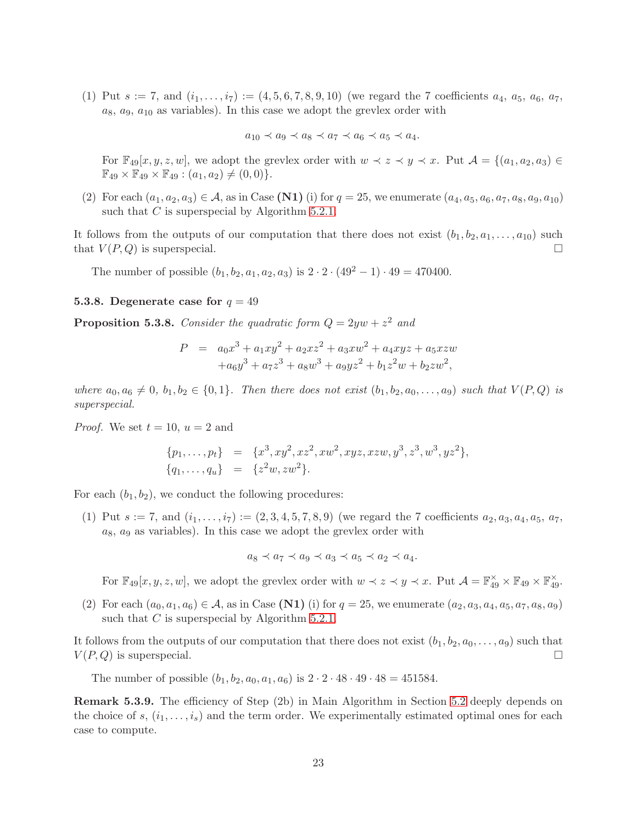(1) Put  $s := 7$ , and  $(i_1, \ldots, i_7) := (4, 5, 6, 7, 8, 9, 10)$  (we regard the 7 coefficients  $a_4$ ,  $a_5$ ,  $a_6$ ,  $a_7$ ,  $a_8, a_9, a_{10}$  as variables). In this case we adopt the grevlex order with

$$
a_{10} \prec a_9 \prec a_8 \prec a_7 \prec a_6 \prec a_5 \prec a_4.
$$

For  $\mathbb{F}_{49}[x, y, z, w]$ , we adopt the grevlex order with  $w \prec z \prec y \prec x$ . Put  $\mathcal{A} = \{(a_1, a_2, a_3) \in$  $\mathbb{F}_{49} \times \mathbb{F}_{49} \times \mathbb{F}_{49} : (a_1, a_2) \neq (0, 0) \}.$ 

(2) For each  $(a_1, a_2, a_3) \in A$ , as in Case (N1) (i) for  $q = 25$ , we enumerate  $(a_4, a_5, a_6, a_7, a_8, a_9, a_{10})$ such that  $C$  is superspecial by Algorithm [5.2.1.](#page-16-0)

It follows from the outputs of our computation that there does not exist  $(b_1, b_2, a_1, \ldots, a_{10})$  such that  $V(P,Q)$  is superspecial.

The number of possible  $(b_1, b_2, a_1, a_2, a_3)$  is  $2 \cdot 2 \cdot (49^2 - 1) \cdot 49 = 470400$ .

#### 5.3.8. Degenerate case for  $q = 49$

<span id="page-22-0"></span>**Proposition 5.3.8.** Consider the quadratic form  $Q = 2yw + z^2$  and

$$
P = a_0x^3 + a_1xy^2 + a_2xz^2 + a_3xw^2 + a_4xyz + a_5xzw
$$
  
+ $a_6y^3 + a_7z^3 + a_8w^3 + a_9yz^2 + b_1z^2w + b_2zw^2$ ,

where  $a_0, a_6 \neq 0, b_1, b_2 \in \{0, 1\}$ . Then there does not exist  $(b_1, b_2, a_0, \ldots, a_9)$  such that  $V(P,Q)$  is superspecial.

*Proof.* We set  $t = 10$ ,  $u = 2$  and

$$
{p_1, \ldots, p_t} = {x^3, xy^2, xz^2, xw^2, xyz, xzw, y^3, z^3, w^3, yz^2},
$$
  

$$
{q_1, \ldots, q_u} = {z^2w, zw^2}.
$$

For each  $(b_1, b_2)$ , we conduct the following procedures:

(1) Put  $s := 7$ , and  $(i_1, \ldots, i_7) := (2, 3, 4, 5, 7, 8, 9)$  (we regard the 7 coefficients  $a_2, a_3, a_4, a_5, a_7$ ,  $a_8$ ,  $a_9$  as variables). In this case we adopt the grevlex order with

$$
a_8 \prec a_7 \prec a_9 \prec a_3 \prec a_5 \prec a_2 \prec a_4.
$$

For  $\mathbb{F}_{49}[x, y, z, w]$ , we adopt the grevlex order with  $w \prec z \prec y \prec x$ . Put  $\mathcal{A} = \mathbb{F}_{49}^{\times} \times \mathbb{F}_{49} \times \mathbb{F}_{49}^{\times}$ .

(2) For each  $(a_0, a_1, a_6) \in A$ , as in Case (N1) (i) for  $q = 25$ , we enumerate  $(a_2, a_3, a_4, a_5, a_7, a_8, a_9)$ such that  $C$  is superspecial by Algorithm [5.2.1.](#page-16-0)

It follows from the outputs of our computation that there does not exist  $(b_1, b_2, a_0, \ldots, a_9)$  such that  $V(P,Q)$  is superspecial.

The number of possible  $(b_1, b_2, a_0, a_1, a_6)$  is  $2 \cdot 2 \cdot 48 \cdot 49 \cdot 48 = 451584$ .

Remark 5.3.9. The efficiency of Step (2b) in Main Algorithm in Section [5.2](#page-15-0) deeply depends on the choice of s,  $(i_1, \ldots, i_s)$  and the term order. We experimentally estimated optimal ones for each case to compute.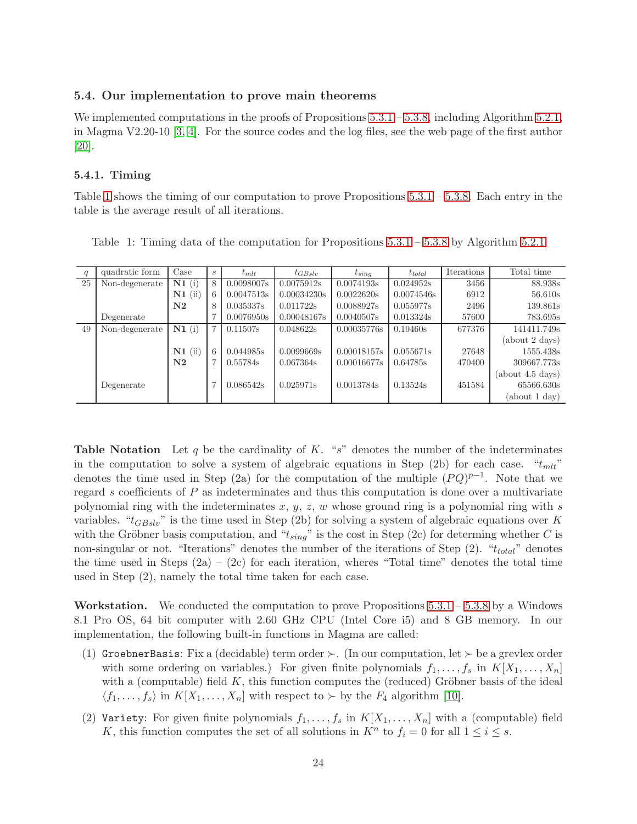## <span id="page-23-0"></span>5.4. Our implementation to prove main theorems

We implemented computations in the proofs of Propositions [5.3.1](#page-24-0) – [5.3.8,](#page-22-0) including Algorithm [5.2.1,](#page-16-0) in Magma V2.20-10 [\[3,](#page-32-3) [4\]](#page-32-6). For the source codes and the log files, see the web page of the first author [\[20\]](#page-33-2).

#### 5.4.1. Timing

Table [1](#page-23-1) shows the timing of our computation to prove Propositions  $5.3.1 - 5.3.8$ . Each entry in the table is the average result of all iterations.

| q  | quadratic form | Case       | $\boldsymbol{s}$ | $t_{mlt}$  | $t_{GBslv}$ | $t_{sing}$  | $t_{total}$ | Iterations | Total time       |
|----|----------------|------------|------------------|------------|-------------|-------------|-------------|------------|------------------|
| 25 | Non-degenerate | N1(i)      | 8                | 0.0098007s | 0.0075912s  | 0.0074193s  | 0.024952s   | 3456       | 88.938s          |
|    |                | $N1$ (ii)  | 6                | 0.0047513s | 0.00034230s | 0.0022620s  | 0.0074546s  | 6912       | 56.610s          |
|    |                | ${\bf N2}$ | 8                | 0.035337s  | 0.011722s   | 0.0088927s  | 0.055977s   | 2496       | 139.861s         |
|    | Degenerate     |            |                  | 0.0076950s | 0.00048167s | 0.0040507s  | 0.013324s   | 57600      | 783.695s         |
| 49 | Non-degenerate | N1(i)      | 7                | 0.11507s   | 0.048622s   | 0.00035776s | 0.19460s    | 677376     | 141411.749s      |
|    |                |            |                  |            |             |             |             |            | (about 2 days)   |
|    |                | $N1$ (ii)  | 6                | 0.044985s  | 0.0099669s  | 0.00018157s | 0.055671s   | 27648      | 1555.438s        |
|    |                | $\bf N2$   | 7                | 0.55784s   | 0.067364s   | 0.00016677s | 0.64785s    | 470400     | 309667.773s      |
|    |                |            |                  |            |             |             |             |            | (about 4.5 days) |
|    | Degenerate     |            |                  | 0.086542s  | 0.025971s   | 0.0013784s  | 0.13524s    | 451584     | 65566.630s       |
|    |                |            |                  |            |             |             |             |            | (about 1 day)    |

<span id="page-23-1"></span>Table 1: Timing data of the computation for Propositions [5.3.1](#page-24-0) – [5.3.8](#page-22-0) by Algorithm [5.2.1](#page-16-0)

**Table Notation** Let q be the cardinality of K. "s" denotes the number of the indeterminates in the computation to solve a system of algebraic equations in Step (2b) for each case.  $"t_{mlt}"$ denotes the time used in Step (2a) for the computation of the multiple  $(PQ)^{p-1}$ . Note that we regard s coefficients of  $P$  as indeterminates and thus this computation is done over a multivariate polynomial ring with the indeterminates  $x, y, z, w$  whose ground ring is a polynomial ring with s variables. " $t_{GBslv}$ " is the time used in Step (2b) for solving a system of algebraic equations over K with the Gröbner basis computation, and " $t_{sing}$ " is the cost in Step (2c) for determing whether C is non-singular or not. "Iterations" denotes the number of the iterations of Step  $(2)$ . " $t_{total}$ " denotes the time used in Steps  $(2a) - (2c)$  for each iteration, wheres "Total time" denotes the total time used in Step (2), namely the total time taken for each case.

**Workstation.** We conducted the computation to prove Propositions  $5.3.1 - 5.3.8$  $5.3.1 - 5.3.8$  by a Windows 8.1 Pro OS, 64 bit computer with 2.60 GHz CPU (Intel Core i5) and 8 GB memory. In our implementation, the following built-in functions in Magma are called:

- (1) GroebnerBasis: Fix a (decidable) term order  $\succ$ . (In our computation, let  $\succ$  be a grevlex order with some ordering on variables.) For given finite polynomials  $f_1, \ldots, f_s$  in  $K[X_1, \ldots, X_n]$ with a (computable) field  $K$ , this function computes the (reduced) Gröbner basis of the ideal  $\langle f_1, \ldots, f_s \rangle$  in  $K[X_1, \ldots, X_n]$  with respect to ≻ by the  $F_4$  algorithm [\[10\]](#page-32-7).
- (2) Variety: For given finite polynomials  $f_1, \ldots, f_s$  in  $K[X_1, \ldots, X_n]$  with a (computable) field K, this function computes the set of all solutions in  $K^n$  to  $f_i = 0$  for all  $1 \leq i \leq s$ .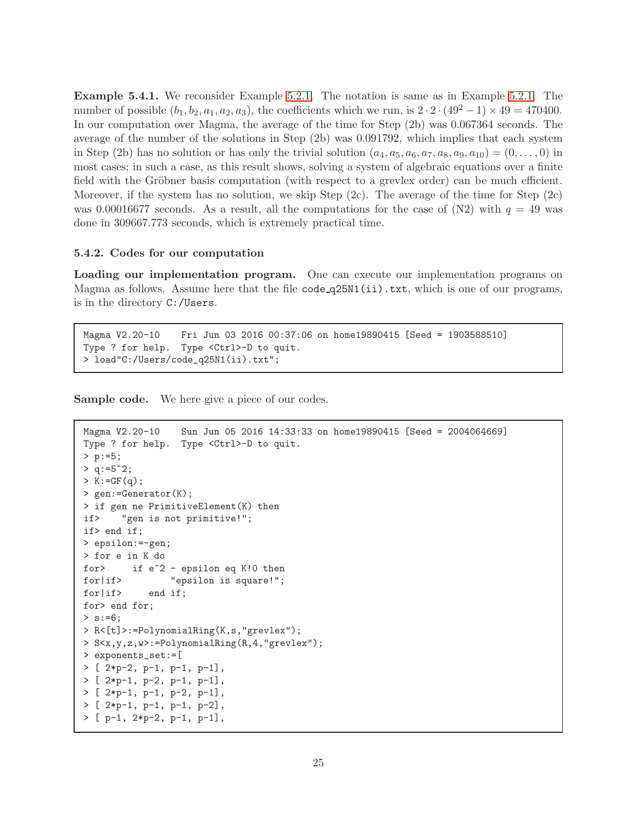<span id="page-24-0"></span>Example 5.4.1. We reconsider Example [5.2.1.](#page-24-0) The notation is same as in Example [5.2.1.](#page-24-0) The number of possible  $(b_1, b_2, a_1, a_2, a_3)$ , the coefficients which we run, is  $2 \cdot 2 \cdot (49^2 - 1) \times 49 = 470400$ . In our computation over Magma, the average of the time for Step (2b) was 0.067364 seconds. The average of the number of the solutions in Step (2b) was 0.091792, which implies that each system in Step (2b) has no solution or has only the trivial solution  $(a_4, a_5, a_6, a_7, a_8, a_9, a_{10}) = (0, \ldots, 0)$  in most cases; in such a case, as this result shows, solving a system of algebraic equations over a finite field with the Gröbner basis computation (with respect to a grevlex order) can be much efficient. Moreover, if the system has no solution, we skip Step  $(2c)$ . The average of the time for Step  $(2c)$ was 0.00016677 seconds. As a result, all the computations for the case of  $(N2)$  with  $q = 49$  was done in 309667.773 seconds, which is extremely practical time.

### 5.4.2. Codes for our computation

Loading our implementation program. One can execute our implementation programs on Magma as follows. Assume here that the file code  $q25M(ii)$ .txt, which is one of our programs, is in the directory C:/Users.

```
Magma V2.20-10 Fri Jun 03 2016 00:37:06 on home19890415 [Seed = 1903588510]
Type ? for help. Type <Ctrl>-D to quit.
> load"C:/Users/code_q25N1(ii).txt";
```
Sample code. We here give a piece of our codes.

```
Magma V2.20-10 Sun Jun 05 2016 14:33:33 on home19890415 [Seed = 2004064669]
Type ? for help. Type <Ctrl>-D to quit.
> p:=5;
> q := 5^2;> K: = GF(q);> gen:=Generator(K);
> if gen ne PrimitiveElement(K) then
if> "gen is not primitive!";
if> end if;
> epsilon:=-gen;
> for e in K do
for> if e^2 - epsilon eq K!0 then
for|if> "epsilon is square!";
for | if> end if;
for> end for;
> s := 6;> R<[t]>:=PolynomialRing(K,s,"grevlex");
> S<x,y,z,w>:=PolynomialRing(R,4,"grevlex");
> exponents_set:=[
> [ 2*p-2, p-1, p-1, p-1],
> [ 2*p-1, p-2, p-1, p-1],
> [ 2*p-1, p-1, p-2, p-1],
> [ 2*p-1, p-1, p-1, p-2],
> [ p-1, 2*p-2, p-1, p-1],
```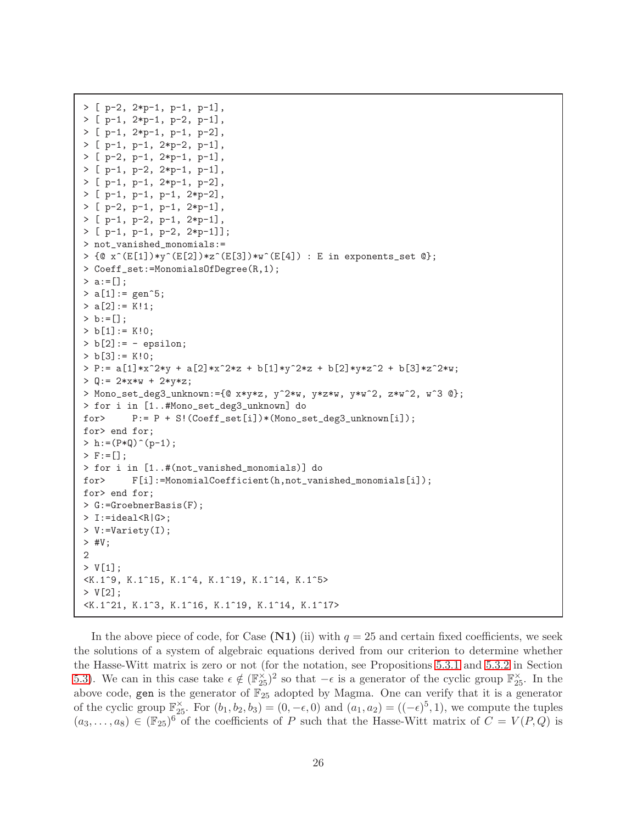```
> [ p-2, 2*p-1, p-1, p-1],
> [ p-1, 2*p-1, p-2, p-1],
> [ p-1, 2*p-1, p-1, p-2],
> [ p-1, p-1, 2*p-2, p-1],
> [ p-2, p-1, 2*p-1, p-1],
> [ p-1, p-2, 2*p-1, p-1],
> [ p-1, p-1, 2*p-1, p-2],
> [ p-1, p-1, p-1, 2*p-2],
> [ p-2, p-1, p-1, 2*p-1],
> [ p-1, p-2, p-1, 2*p-1],
> [ p-1, p-1, p-2, 2*p-1]];
> not_vanished_monomials:=
> \{Q \times (E[1]) * y^*(E[2]) * z^*(E[3]) * w^*(E[4]) : E \text{ in exponents_set } Q\};> Coeff_set:=MonomialsOfDegree(R,1);
> a := [];
> a[1]: = gen^5;> a[2] := K!1;> b := [];
> b[1] := K!0;> b[2] := - epsilon;
> b[3] := K!0;> P:= a[1]*x^2*y + a[2]*x^2*z + b[1]*y^2*z + b[2]*y*z^2 + b[3]*z^2*w;
> Q := 2*x*w + 2*y*z;> Mono_set_deg3_unknown:={@ x*y*z, y^2*w, y*z*w, y*w^2, z*w^2, w^3 @};
> for i in [1..#Mono_set_deg3_unknown] do
for> P:= P + S!(Coeff_set[i])*(Mono_set_deg3_unknown[i]);
for> end for;
> h:=(P*Q)^(p-1);
> F:=[];
> for i in [1..#(not_vanished_monomials)] do
for> F[i]:=MonomialCoefficient(h,not_vanished_monomials[i]);
for> end for;
> G:=GroebnerBasis(F);
> I:=ideal<R|G>;
> V:=Variety(I);
> #V;
2
> V[1];
<K.1^9, K.1^15, K.1^4, K.1^19, K.1^14, K.1^5>
> V[2];
<K.1^21, K.1^3, K.1^16, K.1^19, K.1^14, K.1^17>
```
In the above piece of code, for Case  $(N1)$  (ii) with  $q = 25$  and certain fixed coefficients, we seek the solutions of a system of algebraic equations derived from our criterion to determine whether the Hasse-Witt matrix is zero or not (for the notation, see Propositions [5.3.1](#page-24-0) and [5.3.2](#page-18-0) in Section [5.3\)](#page-17-0). We can in this case take  $\epsilon \notin (\mathbb{F}_{25}^{\times})^2$  so that  $-\epsilon$  is a generator of the cyclic group  $\mathbb{F}_{25}^{\times}$ . In the above code, gen is the generator of  $\mathbb{F}_{25}$  adopted by Magma. One can verify that it is a generator of the cyclic group  $\mathbb{F}_{25}^{\times}$ . For  $(b_1, b_2, b_3) = (0, -\epsilon, 0)$  and  $(a_1, a_2) = ((-\epsilon)^5, 1)$ , we compute the tuples  $(a_3,\ldots,a_8) \in (\mathbb{F}_{25})^6$  of the coefficients of P such that the Hasse-Witt matrix of  $C = V(P,Q)$  is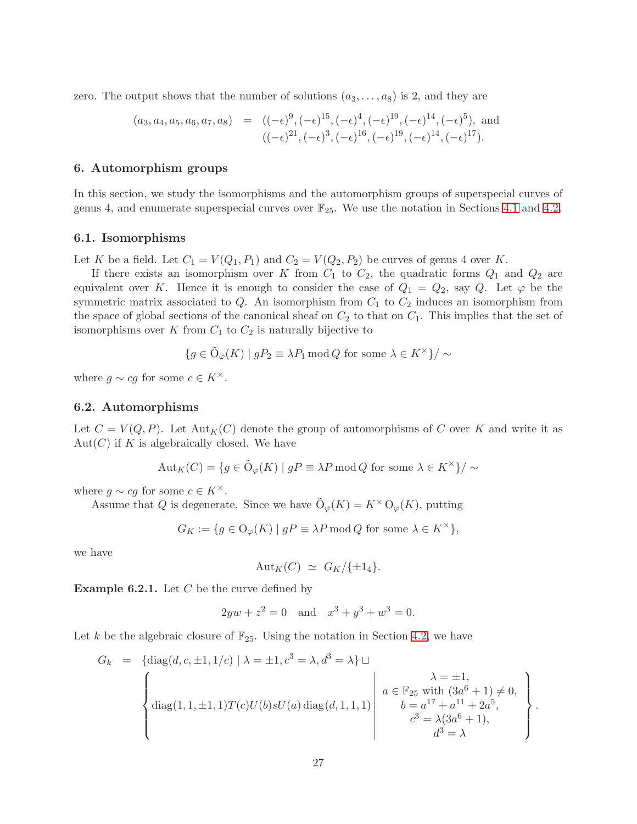zero. The output shows that the number of solutions  $(a_3, \ldots, a_8)$  is 2, and they are

<span id="page-26-1"></span>
$$
(a_3, a_4, a_5, a_6, a_7, a_8) = ((-\epsilon)^9, (-\epsilon)^{15}, (-\epsilon)^4, (-\epsilon)^{19}, (-\epsilon)^{14}, (-\epsilon)^5), \text{ and } ((-\epsilon)^{21}, (-\epsilon)^3, (-\epsilon)^{16}, (-\epsilon)^{19}, (-\epsilon)^{14}, (-\epsilon)^{17}).
$$

## <span id="page-26-0"></span>6. Automorphism groups

In this section, we study the isomorphisms and the automorphism groups of superspecial curves of genus 4, and enumerate superspecial curves over  $\mathbb{F}_{25}$ . We use the notation in Sections [4.1](#page-7-2) and [4.2.](#page-9-0)

#### 6.1. Isomorphisms

Let K be a field. Let  $C_1 = V(Q_1, P_1)$  and  $C_2 = V(Q_2, P_2)$  be curves of genus 4 over K.

If there exists an isomorphism over K from  $C_1$  to  $C_2$ , the quadratic forms  $Q_1$  and  $Q_2$  are equivalent over K. Hence it is enough to consider the case of  $Q_1 = Q_2$ , say Q. Let  $\varphi$  be the symmetric matrix associated to  $Q$ . An isomorphism from  $C_1$  to  $C_2$  induces an isomorphism from the space of global sections of the canonical sheaf on  $C_2$  to that on  $C_1$ . This implies that the set of isomorphisms over K from  $C_1$  to  $C_2$  is naturally bijective to

$$
\{g \in \tilde{\mathcal{O}}_{\varphi}(K) \mid gP_2 \equiv \lambda P_1 \operatorname{mod} Q \text{ for some } \lambda \in K^{\times} \} / \sim
$$

where  $g \sim cg$  for some  $c \in K^{\times}$ .

## 6.2. Automorphisms

Let  $C = V(Q, P)$ . Let  ${\rm Aut}_K(C)$  denote the group of automorphisms of C over K and write it as  $Aut(C)$  if K is algebraically closed. We have

$$
Aut_K(C) = \{ g \in \tilde{\mathcal{O}}_{\varphi}(K) \mid gP \equiv \lambda P \operatorname{mod} Q \text{ for some } \lambda \in K^{\times} \} / \sim
$$

where  $g \sim cg$  for some  $c \in K^{\times}$ .

Assume that Q is degenerate. Since we have  $\tilde{O}_{\varphi}(K) = K^{\times} O_{\varphi}(K)$ , putting

$$
G_K:=\{g\in \mathcal{O}_{\varphi}(K)\mid gP\equiv \lambda P \operatorname{mod} Q \text{ for some }\lambda\in K^{\times}\},
$$

we have

$$
Aut_K(C) \simeq G_K/\{\pm 1_4\}.
$$

**Example 6.2.1.** Let  $C$  be the curve defined by

$$
2yw + z2 = 0
$$
 and  $x3 + y3 + w3 = 0$ .

Let k be the algebraic closure of  $\mathbb{F}_{25}$ . Using the notation in Section [4.2,](#page-9-0) we have

$$
G_k = \left\{ \text{diag}(d, c, \pm 1, 1/c) \mid \lambda = \pm 1, c^3 = \lambda, d^3 = \lambda \right\} \sqcup \left\{ \begin{array}{c} \lambda = \pm 1, \\ \lambda = \pm 1, \\ \text{diag}(1, 1, \pm 1, 1) T(c) U(b) s U(a) \text{ diag}(d, 1, 1, 1) \end{array} \right\} \begin{array}{c} \lambda = \pm 1, \\ a \in \mathbb{F}_{25} \text{ with } (3a^6 + 1) \neq 0, \\ b = a^{17} + a^{11} + 2a^5, \\ c^3 = \lambda (3a^6 + 1), \\ d^3 = \lambda \end{array} \right\}.
$$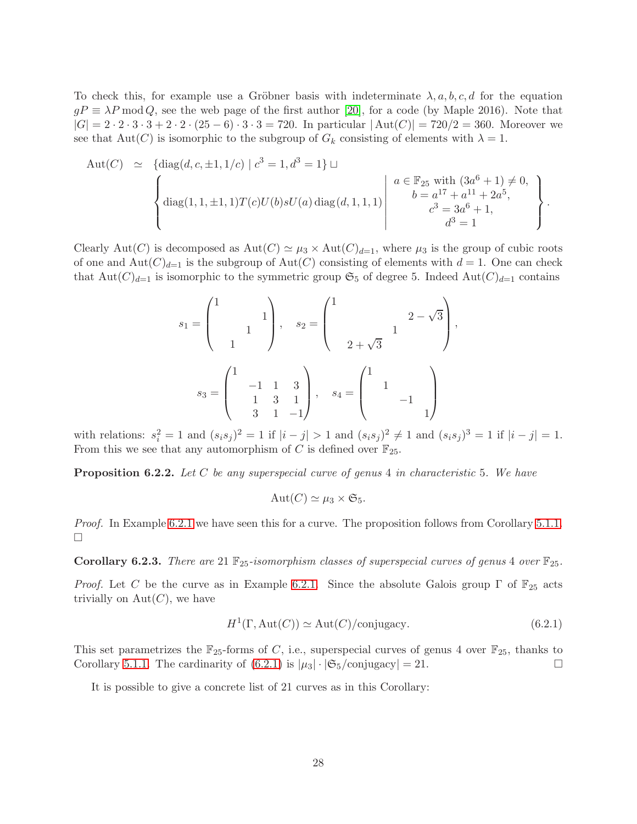To check this, for example use a Gröbner basis with indeterminate  $\lambda, a, b, c, d$  for the equation  $gP \equiv \lambda P \mod Q$ , see the web page of the first author [\[20\]](#page-33-2), for a code (by Maple 2016). Note that  $|G| = 2 \cdot 2 \cdot 3 \cdot 3 + 2 \cdot 2 \cdot (25 - 6) \cdot 3 \cdot 3 = 720$ . In particular  $|\text{Aut}(C)| = 720/2 = 360$ . Moreover we see that  $Aut(C)$  is isomorphic to the subgroup of  $G_k$  consisting of elements with  $\lambda = 1$ .

$$
Aut(C) \simeq \left\{ diag(d, c, \pm 1, 1/c) \mid c^{3} = 1, d^{3} = 1 \right\} \sqcup \left\{ diag(1, 1, \pm 1, 1)T(c)U(b)sU(a) diag(d, 1, 1, 1) \mid \begin{array}{c} a \in \mathbb{F}_{25} \text{ with } (3a^{6} + 1) \neq 0, \\ b = a^{17} + a^{11} + 2a^{5}, \\ c^{3} = 3a^{6} + 1, \\ d^{3} = 1 \end{array} \right\}.
$$

Clearly Aut(C) is decomposed as  $Aut(C) \simeq \mu_3 \times Aut(C)_{d=1}$ , where  $\mu_3$  is the group of cubic roots of one and  $Aut(C)<sub>d=1</sub>$  is the subgroup of  $Aut(C)$  consisting of elements with  $d = 1$ . One can check that  $Aut(C)_{d=1}$  is isomorphic to the symmetric group  $\mathfrak{S}_5$  of degree 5. Indeed  $Aut(C)_{d=1}$  contains

$$
s_1 = \begin{pmatrix} 1 & & & \\ & & 1 & \\ & & 1 & \\ & & 1 & \end{pmatrix}, \quad s_2 = \begin{pmatrix} 1 & & & \\ & & 1 & \\ & & 1 & \\ & 2 + \sqrt{3} & & \\ & & 1 & \\ & 2 + \sqrt{3} & & \\ & & & 1 & \\ & & & -1 & \\ & & & & 1 \end{pmatrix},
$$

with relations:  $s_i^2 = 1$  and  $(s_i s_j)^2 = 1$  if  $|i - j| > 1$  and  $(s_i s_j)^2 \neq 1$  and  $(s_i s_j)^3 = 1$  if  $|i - j| = 1$ . From this we see that any automorphism of C is defined over  $\mathbb{F}_{25}$ .

**Proposition 6.2.2.** Let C be any superspecial curve of genus 4 in characteristic 5. We have

$$
Aut(C) \simeq \mu_3 \times \mathfrak{S}_5.
$$

*Proof.* In Example [6.2.1](#page-28-2) we have seen this for a curve. The proposition follows from Corollary [5.1.1.](#page-24-0) П

**Corollary 6.2.3.** There are 21  $\mathbb{F}_{25}$ -isomorphism classes of superspecial curves of genus 4 over  $\mathbb{F}_{25}$ .

*Proof.* Let C be the curve as in Example [6.2.1.](#page-28-2) Since the absolute Galois group  $\Gamma$  of  $\mathbb{F}_{25}$  acts trivially on  $Aut(C)$ , we have

<span id="page-27-0"></span>
$$
H^{1}(\Gamma, \text{Aut}(C)) \simeq \text{Aut}(C)/\text{conjugacy}.
$$
 (6.2.1)

This set parametrizes the  $\mathbb{F}_{25}$ -forms of C, i.e., superspecial curves of genus 4 over  $\mathbb{F}_{25}$ , thanks to Corollary [5.1.1.](#page-24-0) The cardinarity of  $(6.2.1)$  is  $|\mu_3| \cdot |\mathfrak{S}_5/\text{conjugacy}| = 21.$ 

It is possible to give a concrete list of 21 curves as in this Corollary: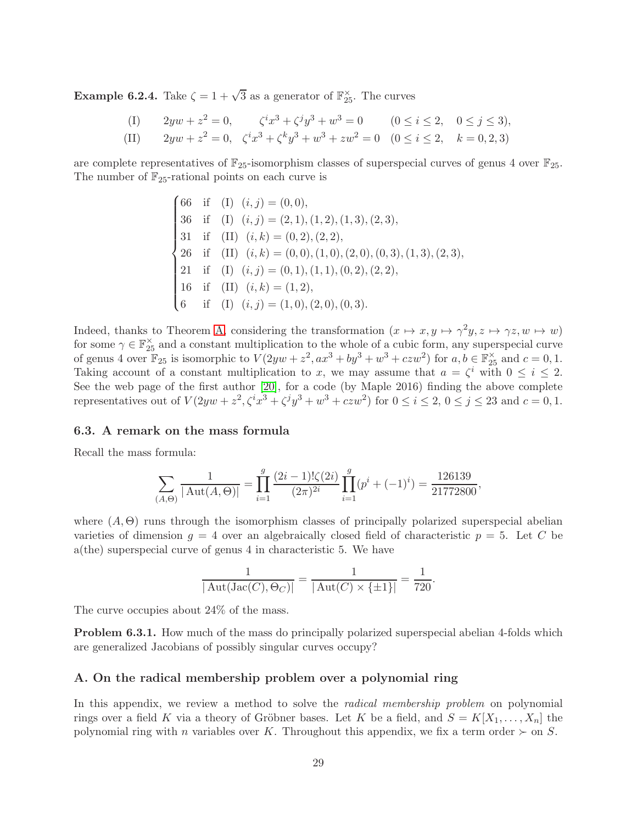<span id="page-28-0"></span>**Example 6.2.4.** Take  $\zeta = 1 + \sqrt{3}$  as a generator of  $\mathbb{F}_{25}^{\times}$ . The curves

(I) 
$$
2yw + z^2 = 0
$$
,  $\zeta^ix^3 + \zeta^jy^3 + w^3 = 0$   $(0 \le i \le 2, 0 \le j \le 3)$ ,

(II) 
$$
2yw + z^2 = 0, \quad \zeta^ix^3 + \zeta^k y^3 + w^3 + zw^2 = 0 \quad (0 \le i \le 2, \quad k = 0, 2, 3)
$$

are complete representatives of  $\mathbb{F}_{25}$ -isomorphism classes of superspecial curves of genus 4 over  $\mathbb{F}_{25}$ . The number of  $\mathbb{F}_{25}$ -rational points on each curve is

$$
\begin{cases}\n66 & \text{if } (I) \ (i,j) = (0,0), \\
36 & \text{if } (I) \ (i,j) = (2,1), (1,2), (1,3), (2,3), \\
31 & \text{if } (II) \ (i,k) = (0,2), (2,2), \\
26 & \text{if } (II) \ (i,k) = (0,0), (1,0), (2,0), (0,3), (1,3), (2,3), \\
21 & \text{if } (I) \ (i,j) = (0,1), (1,1), (0,2), (2,2), \\
16 & \text{if } (II) \ (i,k) = (1,2), \\
6 & \text{if } (I) \ (i,j) = (1,0), (2,0), (0,3).\n\end{cases}
$$

Indeed, thanks to Theorem [A,](#page-0-0) considering the transformation  $(x \mapsto x, y \mapsto \gamma^2 y, z \mapsto \gamma z, w \mapsto w)$ for some  $\gamma \in \mathbb{F}_{25}^{\times}$  and a constant multiplication to the whole of a cubic form, any superspecial curve of genus 4 over  $\mathbb{F}_{25}$  is isomorphic to  $V(2yw + z^2, ax^3 + by^3 + w^3 + czw^2)$  for  $a, b \in \mathbb{F}_{25}^{\times}$  and  $c = 0, 1$ . Taking account of a constant multiplication to x, we may assume that  $a = \zeta^i$  with  $0 \le i \le 2$ . See the web page of the first author [\[20\]](#page-33-2), for a code (by Maple 2016) finding the above complete representatives out of  $V(2yw + z^2, \zeta^i x^3 + \zeta^j y^3 + w^3 + czw^2)$  for  $0 \le i \le 2, 0 \le j \le 23$  and  $c = 0, 1$ .

#### 6.3. A remark on the mass formula

Recall the mass formula:

$$
\sum_{(A,\Theta)} \frac{1}{|\operatorname{Aut}(A,\Theta)|} = \prod_{i=1}^{g} \frac{(2i-1)!\zeta(2i)}{(2\pi)^{2i}} \prod_{i=1}^{g} (p^i + (-1)^i) = \frac{126139}{21772800},
$$

where  $(A, \Theta)$  runs through the isomorphism classes of principally polarized superspecial abelian varieties of dimension  $g = 4$  over an algebraically closed field of characteristic  $p = 5$ . Let C be a(the) superspecial curve of genus 4 in characteristic 5. We have

$$
\frac{1}{|\text{Aut}(\text{Jac}(C), \Theta_C)|} = \frac{1}{|\text{Aut}(C) \times \{\pm 1\}|} = \frac{1}{720}.
$$

The curve occupies about 24% of the mass.

<span id="page-28-2"></span>**Problem 6.3.1.** How much of the mass do principally polarized superspecial abelian 4-folds which are generalized Jacobians of possibly singular curves occupy?

#### <span id="page-28-1"></span>A. On the radical membership problem over a polynomial ring

In this appendix, we review a method to solve the *radical membership problem* on polynomial rings over a field K via a theory of Gröbner bases. Let K be a field, and  $S = K[X_1, \ldots, X_n]$  the polynomial ring with n variables over K. Throughout this appendix, we fix a term order  $\succ$  on S.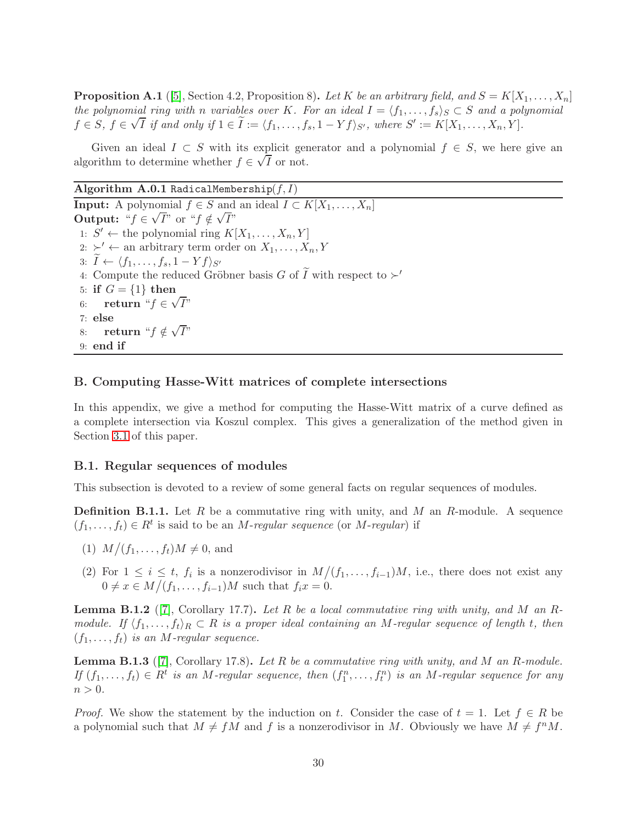<span id="page-29-0"></span>**Proposition A.1** ([\[5\]](#page-32-8), Section 4.2, Proposition 8). Let K be an arbitrary field, and  $S = K[X_1, \ldots, X_n]$ the polynomial ring with n variables over K. For an ideal  $I = \langle f_1, \ldots, f_s \rangle_S \subset S$  and a polynomial  $f \in S$ ,  $f \in \sqrt{I}$  if and only if  $1 \in \tilde{I} := \langle f_1, \ldots, f_s, 1 - Yf \rangle_{S'}$ , where  $S' := K[X_1, \ldots, X_n, Y]$ .

Given an ideal  $I \subset S$  with its explicit generator and a polynomial  $f \in S$ , we here give an algorithm to determine whether  $f \in \sqrt{I}$  or not.

Algorithm A.0.1 RadicalMembership $(f, I)$ **Input:** A polynomial  $f \in S$  and an ideal  $I \subset K[X_1, \ldots, X_n]$ Output: " $f \in \sqrt{I}$ " or " $f \notin \sqrt{I}$ " 1:  $S' \leftarrow$  the polynomial ring  $K[X_1, \ldots, X_n, Y]$ 2:  $\succ' \leftarrow$  an arbitrary term order on  $X_1, \ldots, X_n, Y$ 3:  $I \leftarrow \langle f_1, \ldots, f_s, 1 - Yf \rangle_{S'}$ 4: Compute the reduced Gröbner basis  $G$  of  $\widetilde{I}$  with respect to  $\succ'$ 5: if  $G = \{1\}$  then 6: return " $f \in \sqrt{I}$ " 7: else 8: return " $f \notin \sqrt{I}$ " 9: end if

## B. Computing Hasse-Witt matrices of complete intersections

In this appendix, we give a method for computing the Hasse-Witt matrix of a curve defined as a complete intersection via Koszul complex. This gives a generalization of the method given in Section [3.1](#page-3-2) of this paper.

#### B.1. Regular sequences of modules

This subsection is devoted to a review of some general facts on regular sequences of modules.

**Definition B.1.1.** Let  $R$  be a commutative ring with unity, and  $M$  an  $R$ -module. A sequence  $(f_1, \ldots, f_t) \in R^t$  is said to be an *M*-regular sequence (or *M*-regular) if

- (1)  $M/(f_1, ..., f_t)M \neq 0$ , and
- (2) For  $1 \leq i \leq t$ ,  $f_i$  is a nonzerodivisor in  $M/(f_1,\ldots,f_{i-1})M$ , i.e., there does not exist any  $0 \neq x \in M/(f_1, \ldots, f_{i-1})M$  such that  $f_i x = 0$ .

**Lemma B.1.2** ([\[7\]](#page-32-9), Corollary 17.7). Let R be a local commutative ring with unity, and M an Rmodule. If  $\langle f_1, \ldots, f_t \rangle_R \subset R$  is a proper ideal containing an M-regular sequence of length t, then  $(f_1, \ldots, f_t)$  is an M-regular sequence.

**Lemma B.1.3** ([\[7\]](#page-32-9), Corollary 17.8). Let R be a commutative ring with unity, and M an R-module. If  $(f_1, \ldots, f_t) \in R^t$  is an M-regular sequence, then  $(f_1^n, \ldots, f_t^n)$  is an M-regular sequence for any  $n > 0$ .

*Proof.* We show the statement by the induction on t. Consider the case of  $t = 1$ . Let  $f \in R$  be a polynomial such that  $M \neq fM$  and f is a nonzerodivisor in M. Obviously we have  $M \neq f^nM$ .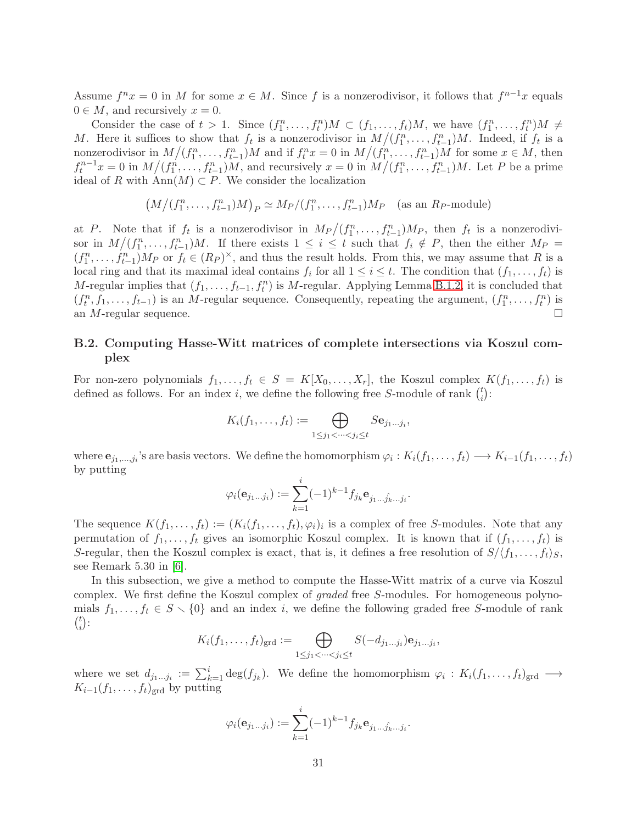Assume  $f^n x = 0$  in M for some  $x \in M$ . Since f is a nonzerodivisor, it follows that  $f^{n-1}x$  equals  $0 \in M$ , and recursively  $x = 0$ .

Consider the case of  $t > 1$ . Since  $(f_1^n, \ldots, f_t^n)M \subset (f_1, \ldots, f_t)M$ , we have  $(f_1^n, \ldots, f_t^n)M \neq$ M. Here it suffices to show that  $f_t$  is a nonzerodivisor in  $M/(f_1^n,\ldots,f_{t-1}^n)M$ . Indeed, if  $f_t$  is a nonzerodivisor in  $M/(f_1^n, \ldots, f_{t-1}^n)M$  and if  $f_t^n x = 0$  in  $M/(f_1^n, \ldots, f_{t-1}^n)M$  for some  $x \in M$ , then  $f_t^{n-1}x = 0$  in  $M/(f_1^n, \ldots, f_{t-1}^n)M$ , and recursively  $x = 0$  in  $M/(f_1^n, \ldots, f_{t-1}^n)M$ . Let P be a prime ideal of R with Ann $(M) \subset P$ . We consider the localization

$$
(M/(f_1^n, \ldots, f_{t-1}^n)M)_P \simeq M_P/(f_1^n, \ldots, f_{t-1}^n)M_P \quad \text{(as an } R_P\text{-module)}
$$

at P. Note that if  $f_t$  is a nonzerodivisor in  $M_P/(f_1^n,\ldots,f_{t-1}^n)M_P$ , then  $f_t$  is a nonzerodivisor in  $M/(f_1^n,\ldots,f_{t-1}^n)M$ . If there exists  $1 \leq i \leq t$  such that  $f_i \notin P$ , then the either  $M_P =$  $(f_1^n, \ldots, f_{t-1}^n) M_P$  or  $f_t \in (R_P)^{\times}$ , and thus the result holds. From this, we may assume that R is a local ring and that its maximal ideal contains  $f_i$  for all  $1 \leq i \leq t$ . The condition that  $(f_1, \ldots, f_t)$  is M-regular implies that  $(f_1, \ldots, f_{t-1}, f_t^n)$  is M-regular. Applying Lemma [B.1.2,](#page-32-10) it is concluded that  $(f_t^n, f_1, \ldots, f_{t-1})$  is an M-regular sequence. Consequently, repeating the argument,  $(f_1^n, \ldots, f_t^n)$  is an  $M$ -regular sequence.

## B.2. Computing Hasse-Witt matrices of complete intersections via Koszul complex

For non-zero polynomials  $f_1, \ldots, f_t \in S = K[X_0, \ldots, X_r]$ , the Koszul complex  $K(f_1, \ldots, f_t)$  is defined as follows. For an index i, we define the following free S-module of rank  $\binom{t}{i}$  $i^{\binom{i}{i}}$ :

$$
K_i(f_1,\ldots,f_t) := \bigoplus_{1 \leq j_1 < \cdots < j_i \leq t} S\mathbf{e}_{j_1\ldots j_i},
$$

where  $e_{j_1,...,j_i}$ 's are basis vectors. We define the homomorphism  $\varphi_i: K_i(f_1,...,f_t) \longrightarrow K_{i-1}(f_1,...,f_t)$ by putting

.

$$
\varphi_i(\mathbf{e}_{j_1...j_i}) := \sum_{k=1}^i (-1)^{k-1} f_{j_k} \mathbf{e}_{j_1...j_k...j_i}
$$

The sequence  $K(f_1,\ldots,f_t) := (K_i(f_1,\ldots,f_t),\varphi_i)_i$  is a complex of free S-modules. Note that any permutation of  $f_1, \ldots, f_t$  gives an isomorphic Koszul complex. It is known that if  $(f_1, \ldots, f_t)$  is S-regular, then the Koszul complex is exact, that is, it defines a free resolution of  $S/\langle f_1, \ldots, f_t \rangle_S$ , see Remark 5.30 in [\[6\]](#page-32-11).

In this subsection, we give a method to compute the Hasse-Witt matrix of a curve via Koszul complex. We first define the Koszul complex of *graded* free S-modules. For homogeneous polynomials  $f_1, \ldots, f_t \in S \setminus \{0\}$  and an index i, we define the following graded free S-module of rank  $\binom{t}{t}$  $\binom{t}{i}$ :

$$
K_i(f_1,\ldots,f_t)_{\text{grd}} := \bigoplus_{1 \leq j_1 < \cdots < j_i \leq t} S(-d_{j_1\ldots j_i}) \mathbf{e}_{j_1\ldots j_i},
$$

where we set  $d_{j_1...j_i} := \sum_{k=1}^i \deg(f_{j_k})$ . We define the homomorphism  $\varphi_i : K_i(f_1,...,f_t)_{\text{grd}} \longrightarrow$  $K_{i-1}(f_1,\ldots,f_t)_{\text{grd}}$  by putting

$$
\varphi_i(\mathbf{e}_{j_1...j_i}) := \sum_{k=1}^i (-1)^{k-1} f_{j_k} \mathbf{e}_{j_1...j_k...j_i}.
$$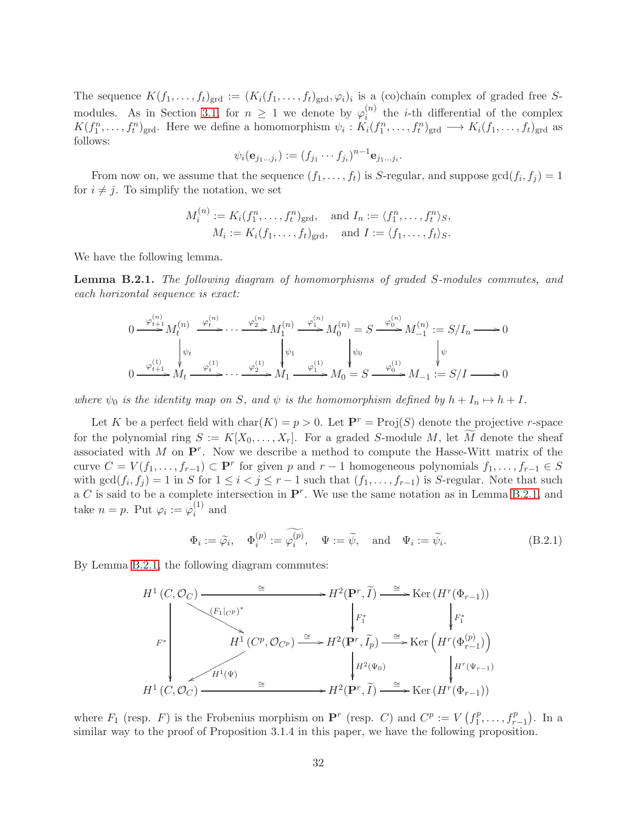The sequence  $K(f_1,\ldots,f_t)_{\text{grd}}:=(K_i(f_1,\ldots,f_t)_{\text{grd}},\varphi_i)_i$  is a (co)chain complex of graded free S-modules. As in Section [3.1,](#page-3-2) for  $n \geq 1$  we denote by  $\varphi_i^{(n)}$  $i^{(n)}$  the *i*-th differential of the complex  $K(f_1^n,\ldots,f_t^n)_{\text{grd}}$ . Here we define a homomorphism  $\psi_i: K_i(f_1^n,\ldots,f_t^n)_{\text{grd}} \longrightarrow K_i(f_1,\ldots,f_t)_{\text{grd}}$  as follows:

$$
\psi_i(\mathbf{e}_{j_1...j_i}) := (f_{j_1} \cdots f_{j_i})^{n-1} \mathbf{e}_{j_1...j_i}.
$$

From now on, we assume that the sequence  $(f_1, \ldots, f_t)$  is S-regular, and suppose  $gcd(f_i, f_j) = 1$ for  $i \neq j$ . To simplify the notation, we set

$$
M_i^{(n)} := K_i(f_1^n, \dots, f_t^n)_{\text{grd}}, \text{ and } I_n := \langle f_1^n, \dots, f_t^n \rangle_S,
$$
  

$$
M_i := K_i(f_1, \dots, f_t)_{\text{grd}}, \text{ and } I := \langle f_1, \dots, f_t \rangle_S.
$$

We have the following lemma.

<span id="page-31-0"></span>Lemma B.2.1. The following diagram of homomorphisms of graded S-modules commutes, and each horizontal sequence is exact:

$$
0 \xrightarrow{\varphi_{t+1}^{(n)}} M_t^{(n)} \xrightarrow{\varphi_t^{(n)}} \cdots \xrightarrow{\varphi_2^{(n)}} M_1^{(n)} \xrightarrow{\varphi_1^{(n)}} M_0^{(n)} = S \xrightarrow{\varphi_0^{(n)}} M_{-1}^{(n)} := S/I_n \longrightarrow 0
$$
  

$$
0 \xrightarrow{\varphi_{t+1}^{(1)}} M_t \xrightarrow{\varphi_t^{(1)}} \cdots \xrightarrow{\varphi_2^{(1)}} M_1 \xrightarrow{\varphi_1^{(1)}} M_0 = S \xrightarrow{\varphi_0^{(1)}} M_{-1} := S/I \longrightarrow 0
$$

where  $\psi_0$  is the identity map on S, and  $\psi$  is the homomorphism defined by  $h + I_n \mapsto h + I$ .

Let K be a perfect field with  $char(K) = p > 0$ . Let  $\mathbf{P}^r = Proj(S)$  denote the projective r-space for the polynomial ring  $S := K[X_0, \ldots, X_r]$ . For a graded S-module M, let M denote the sheaf associated with M on  $\mathbf{P}^r$ . Now we describe a method to compute the Hasse-Witt matrix of the curve  $C = V(f_1, \ldots, f_{r-1}) \subset \mathbf{P}^r$  for given p and  $r-1$  homogeneous polynomials  $f_1, \ldots, f_{r-1} \in S$ with  $gcd(f_i, f_j) = 1$  in S for  $1 \leq i < j \leq r-1$  such that  $(f_1, \ldots, f_{r-1})$  is S-regular. Note that such a C is said to be a complete intersection in  $\mathbf{P}^r$ . We use the same notation as in Lemma [B.2.1,](#page-31-0) and take  $n = p$ . Put  $\varphi_i := \varphi_i^{(1)}$  $i^{\text{1}}$  and

$$
\Phi_i := \widetilde{\varphi}_i, \quad \Phi_i^{(p)} := \widetilde{\varphi_i^{(p)}}, \quad \Psi := \widetilde{\psi}, \quad \text{and} \quad \Psi_i := \widetilde{\psi}_i.
$$
\n(B.2.1)

By Lemma [B.2.1,](#page-31-0) the following diagram commutes:

$$
H^{1}(C, \mathcal{O}_{C}) \xrightarrow{\cong} H^{2}(\mathbf{P}^{r}, \widetilde{I}) \xrightarrow{\cong} \operatorname{Ker}(H^{r}(\Phi_{r-1}))
$$
\n
$$
F^{*} \downarrow F^{*} \downarrow F^{*} \downarrow F^{*}
$$
\n
$$
H^{1}(C^{p}, \mathcal{O}_{C^{p}}) \xrightarrow{\cong} H^{2}(\mathbf{P}^{r}, \widetilde{I}_{p}) \xrightarrow{\cong} \operatorname{Ker}\left(H^{r}(\Phi_{r-1}^{(p)})\right)
$$
\n
$$
H^{1}(C, \mathcal{O}_{C}) \xrightarrow{\cong} H^{2}(\mathbf{P}^{r}, \widetilde{I}) \xrightarrow{\cong} \operatorname{Ker}\left(H^{r}(\Phi_{r-1})\right)
$$
\n
$$
H^{1}(C, \mathcal{O}_{C}) \xrightarrow{\cong} H^{2}(\mathbf{P}^{r}, \widetilde{I}) \xrightarrow{\cong} \operatorname{Ker}\left(H^{r}(\Phi_{r-1})\right)
$$

where  $F_1$  (resp. F) is the Frobenius morphism on  $\mathbf{P}^r$  (resp. C) and  $C^p := V(f_1^p)$  $f_1^p, \ldots, f_{r-1}^p$ ). In a similar way to the proof of Proposition 3.1.4 in this paper, we have the following proposition.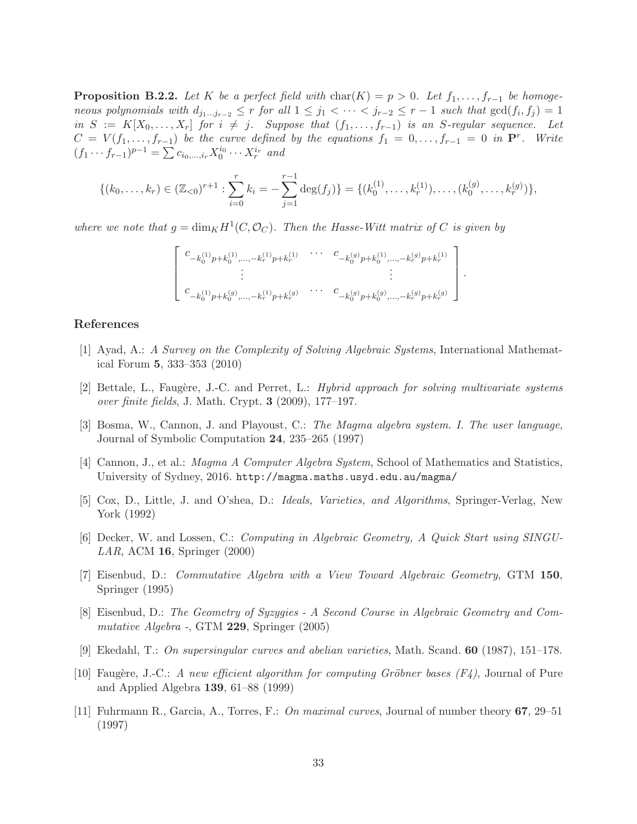<span id="page-32-10"></span>**Proposition B.2.2.** Let K be a perfect field with char(K) = p > 0. Let  $f_1, \ldots, f_{r-1}$  be homogeneous polynomials with  $d_{j_1...j_{r-2}} \leq r$  for all  $1 \leq j_1 < \cdots < j_{r-2} \leq r-1$  such that  $gcd(f_i, f_j) = 1$ in  $S := K[X_0, \ldots, X_r]$  for  $i \neq j$ . Suppose that  $(f_1, \ldots, f_{r-1})$  is an S-regular sequence. Let  $C = V(f_1, \ldots, f_{r-1})$  be the curve defined by the equations  $f_1 = 0, \ldots, f_{r-1} = 0$  in  $\mathbf{P}^r$ . Write  $(f_1 \cdots f_{r-1})^{p-1} = \sum c_{i_0,\ldots,i_r} X_0^{i_0} \cdots X_r^{i_r}$  and

$$
\{(k_0,\ldots,k_r)\in(\mathbb{Z}_{<0})^{r+1}:\sum_{i=0}^r k_i=-\sum_{j=1}^{r-1}\deg(f_j)\}=\{(k_0^{(1)},\ldots,k_r^{(1)}),\ldots,(k_0^{(g)},\ldots,k_r^{(g)})\},\
$$

where we note that  $g = \dim_K H^1(C, \mathcal{O}_C)$ . Then the Hasse-Witt matrix of C is given by

$$
\left[ \begin{array}{ccc} c_{-k_{0}^{(1)}p+k_{0}^{(1)}, \ldots, -k_{r}^{(1)}p+k_{r}^{(1)}} & \cdots & c_{-k_{0}^{(g)}p+k_{0}^{(1)}, \ldots, -k_{r}^{(g)}p+k_{r}^{(1)}} \\ \vdots & & \vdots \\ c_{-k_{0}^{(1)}p+k_{0}^{(g)}, \ldots, -k_{r}^{(1)}p+k_{r}^{(g)}} & \cdots & c_{-k_{0}^{(g)}p+k_{0}^{(g)}, \ldots, -k_{r}^{(g)}p+k_{r}^{(g)}} \end{array} \right]
$$

.

#### <span id="page-32-4"></span>References

- <span id="page-32-2"></span>[1] Ayad, A.: A Survey on the Complexity of Solving Algebraic Systems, International Mathematical Forum 5, 333–353 (2010)
- <span id="page-32-3"></span>[2] Bettale, L., Faugère, J.-C. and Perret, L.: Hybrid approach for solving multivariate systems over finite fields, J. Math. Crypt. 3 (2009), 177–197.
- [3] Bosma, W., Cannon, J. and Playoust, C.: The Magma algebra system. I. The user language, Journal of Symbolic Computation 24, 235–265 (1997)
- <span id="page-32-8"></span><span id="page-32-6"></span>[4] Cannon, J., et al.: Magma A Computer Algebra System, School of Mathematics and Statistics, University of Sydney, 2016. http://magma.maths.usyd.edu.au/magma/
- <span id="page-32-11"></span>[5] Cox, D., Little, J. and O'shea, D.: Ideals, Varieties, and Algorithms, Springer-Verlag, New York (1992)
- <span id="page-32-9"></span>[6] Decker, W. and Lossen, C.: Computing in Algebraic Geometry, A Quick Start using SINGU-LAR, ACM 16, Springer (2000)
- [7] Eisenbud, D.: Commutative Algebra with a View Toward Algebraic Geometry, GTM 150, Springer (1995)
- <span id="page-32-5"></span>[8] Eisenbud, D.: The Geometry of Syzygies - A Second Course in Algebraic Geometry and Commutative Algebra -, GTM 229, Springer (2005)
- <span id="page-32-7"></span><span id="page-32-0"></span>[9] Ekedahl, T.: On supersingular curves and abelian varieties, Math. Scand. 60 (1987), 151–178.
- [10] Faugère, J.-C.: A new efficient algorithm for computing Gröbner bases  $(F_4)$ , Journal of Pure and Applied Algebra 139, 61–88 (1999)
- <span id="page-32-1"></span>[11] Fuhrmann R., Garcia, A., Torres, F.: On maximal curves, Journal of number theory 67, 29–51 (1997)